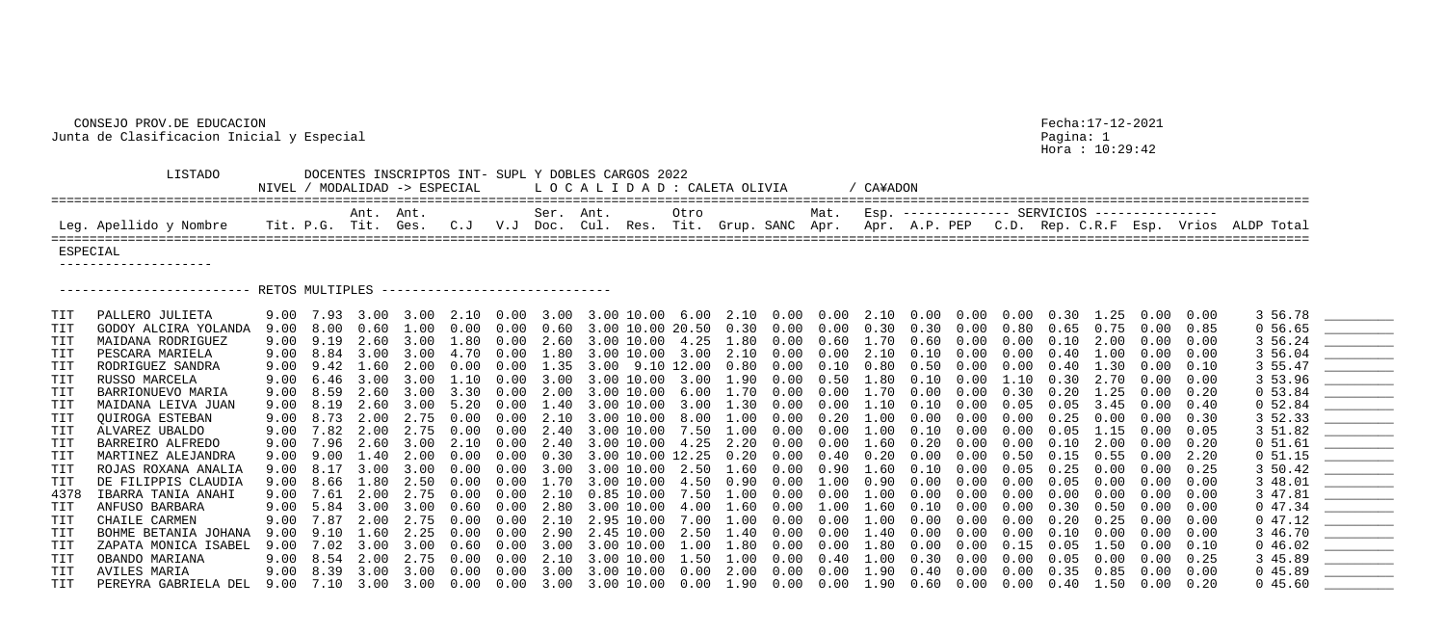LISTADO DOCENTES INSCRIPTOS INT- SUPL Y DOBLES CARGOS 2022 NIVEL / MODALIDAD -> ESPECIAL LOCALIDAD: CALE ==================================================================================================================================================================== Ant. Ant. Ser. Ant. Otro Mat. Esp. -------------- SERVICIOS ---------------- Leg. Apellido y Nombre Tit. P.G. Tit. Ges. C.J V.J Doc. Cul. Res. Tit. ==================================================================================================================================================================== ESPECIAL -------------------- ------------------------- RETOS MULTIPLES ------------------------------ TIT BOHME BETANIA JOHANA 9.00 9.10 1.60 2.25 0.00 0.00 2.90 2.45 10.00 2.50<br>TIT ZAPATA MONICA ISABEL 9.00 7.02 3.00 3.00 0.60 0.00 3.00 3.00 10.00 1.00 TIT PEREYRA GABRIELA DEL 9.00 7.10 3.00 3.00 0.00 0.00 3.00 3.00 10.00 0.00

Hora : 10:29:42

| TA OLIVIA           / CA¥ADON                                       |                                                   |  |  |  |  |  |
|---------------------------------------------------------------------|---------------------------------------------------|--|--|--|--|--|
| Grup. SANC Apr. Apr. A.P. PEP C.D. Rep. C.R.F Esp. Vrios ALDP Total | Mat. Esp. ------------- SERVICIOS --------------- |  |  |  |  |  |
|                                                                     |                                                   |  |  |  |  |  |

| TIT            | PALLERO JULIETA      |      |                              |              |            |            |                   |                   |                        |               |               |            |                              |             |                  |            |            |               |                   |                   |      | 3 56.78      | $\begin{array}{cccccccccc} \hline \multicolumn{3}{c}{} & \multicolumn{3}{c}{} & \multicolumn{3}{c}{} & \multicolumn{3}{c}{} & \multicolumn{3}{c}{} & \multicolumn{3}{c}{} & \multicolumn{3}{c}{} & \multicolumn{3}{c}{} & \multicolumn{3}{c}{} & \multicolumn{3}{c}{} & \multicolumn{3}{c}{} & \multicolumn{3}{c}{} & \multicolumn{3}{c}{} & \multicolumn{3}{c}{} & \multicolumn{3}{c}{} & \multicolumn{3}{c}{} & \multicolumn{3}{c}{} & \multicolumn{3}{c}{} & \multicolumn{3}{c}{}$ |
|----------------|----------------------|------|------------------------------|--------------|------------|------------|-------------------|-------------------|------------------------|---------------|---------------|------------|------------------------------|-------------|------------------|------------|------------|---------------|-------------------|-------------------|------|--------------|---------------------------------------------------------------------------------------------------------------------------------------------------------------------------------------------------------------------------------------------------------------------------------------------------------------------------------------------------------------------------------------------------------------------------------------------------------------------------------------|
|                | GODOY ALCIRA YOLANDA | 9.00 | 8.00                         | 0.60         | 1.00       | 0.00       | $0.00 \quad 0.60$ |                   | 3.00 10.00 20.50 0.30  |               |               | $0\,.\,00$ | $0\,.\,00$                   | 0.30        | 0.30             | $0\,.\,00$ | 0.80       | 0.65          | 0.75              | 0.00              | 0.85 | $0\,56.65$   |                                                                                                                                                                                                                                                                                                                                                                                                                                                                                       |
|                | MAIDANA RODRIGUEZ    | 9.00 | 9.19                         | 2.60         | 3.00       | 1.80       | 0.00              | 2.60              | 3.00 10.00 4.25 1.80   |               |               | $0\,.\,00$ | 0.60                         | $1\ldotp70$ | 0.60             | $0\,.\,00$ | 0.00       | $0\ldots 10$  | 2.00              |                   | 0.00 | 3 56.24      |                                                                                                                                                                                                                                                                                                                                                                                                                                                                                       |
| TIT            | PESCARA MARIELA      | 9.00 | 8.84                         | 3.00         | 3.00       | 4.70       | 0.00              | 1.80              | 3.00 10.00 3.00 2.10   |               |               | $0\,.\,00$ | $0\,.\,00$                   | 2.10        | $0\,.10$         | 0.00       | 0.00       | $0\,.40$      | 1.00              | $0\,.\,00$        | 0.00 | 3 56.04      |                                                                                                                                                                                                                                                                                                                                                                                                                                                                                       |
|                | RODRIGUEZ SANDRA     |      | $9.00 \quad 9.42 \quad 1.60$ |              | $2\,.\,00$ | $0\,.\,00$ |                   | $0.00 \quad 1.35$ | 3.00 9.10 12.00 0.80   |               |               | $0\,.\,00$ | $0.10\quad 0.80$             |             | $0.50\quad 0.00$ |            | $0\,.\,00$ | 0.40 1.30     |                   | 0.00              | 0.10 | 3 55.47      | <u> The Communication of the Communication</u>                                                                                                                                                                                                                                                                                                                                                                                                                                        |
| TIT            | RUSSO MARCELA        | 9.00 | 6.46                         | 3.00         | 3.00       | 1.10       | $0.00$ 3.00       |                   | 3.00 10.00 3.00 1.90   |               |               | 0.00       | $0.50$ $1.80$ $0.10$         |             |                  | 0.00       | 1.10       | 0.30          | 2.70              | $0.00 \quad 0.00$ |      | 3 53.96      |                                                                                                                                                                                                                                                                                                                                                                                                                                                                                       |
|                | BARRIONUEVO MARIA    | 9.00 | 8.59                         | 2.60         | 3.00       | 3.30       | 0.00              | $2\,.\,00$        | 3.00 10.00             |               | 6.00 1.70     | 0.00       | $0.00$ $1.70$                |             | 0.00             | $0\,.\,00$ | 0.30       |               | $0.20 \quad 1.25$ | 0.00              | 0.20 | 0, 53.84     | <u>_____________________</u>                                                                                                                                                                                                                                                                                                                                                                                                                                                          |
|                | MAIDANA LEIVA JUAN   |      | $9.00 \quad 8.19$            | 2.60         | 3.00       | 5.20       | $0.00 \quad 1.40$ |                   | 3.00 10.00 3.00 1.30   |               |               | $0\,.\,00$ | $0.00$ $1.10$                |             | $0\ldots 10$     | 0.00       | 0.05       | 0.05          | 3.45              | $0.00 \quad 0.40$ |      | $0\;52.84$   |                                                                                                                                                                                                                                                                                                                                                                                                                                                                                       |
| TIT            | QUIROGA ESTEBAN      |      | 9.00 8.73                    | $2\,.\,00$   | 2.75       | 0.00       | $0.00$ $2.10$     |                   | 3.00 10.00 8.00 1.00   |               |               | 0.00       | $0.20$ $1.00$                |             | $0.00\quad 0.00$ |            | $0\,.\,00$ | 0.25          | 0.00              | $0.00 \quad 0.30$ |      | 3 52.33      |                                                                                                                                                                                                                                                                                                                                                                                                                                                                                       |
| TIT            | ALVAREZ UBALDO       | 9.00 | 7.82                         | 2.00         | 2.75       | 0.00       | 0.00              | 2.40              | 3.00 10.00             | 7.50 1.00     |               | $0\,.\,00$ | $0\,.\,00$                   | 1.00        | $0\,.10$         | 0.00       | 0.00       | 0.05          | 1.15              |                   | 0.05 | 3 51.82      |                                                                                                                                                                                                                                                                                                                                                                                                                                                                                       |
| $\mathtt{TIT}$ | BARREIRO ALFREDO     |      | 9.00 7.96                    | 2.60         | 3.00       | 2.10       | $0.00 \quad 2.40$ |                   | 3.00 10.00 4.25 2.20   |               |               | $0\,.\,00$ | $0.00$ $1.60$                |             | $0.20\quad 0.00$ |            | $0\,.\,00$ | $0\,.10$      | 2.00              | $0.00 \quad 0.20$ |      | $0\;\;51.61$ |                                                                                                                                                                                                                                                                                                                                                                                                                                                                                       |
|                | MARTINEZ ALEJANDRA   | 9.00 | 9.00                         | $1\ldotp 40$ | 2.00       | 0.00       | $0.00 \quad 0.30$ |                   | 3.00 10.00 12.25 0.20  |               |               | $0\,.\,00$ | $0\,.40$                     | $0\,.20$    | $0\,.\,00$       | 0.00       | 0.50       | 0.15          | 0.55              | $0\,.\,00$        | 2.20 | 0 51.15      |                                                                                                                                                                                                                                                                                                                                                                                                                                                                                       |
| TIT            | ROJAS ROXANA ANALIA  |      | 9.00 8.17                    | 3.00         | 3.00       | 0.00       | 0.00              | 3.00              | 3.00 10.00 2.50 1.60   |               |               | 0.00       | $0.90$ $1.60$                |             | $0\,.10$         | 0.00       | 0.05       | 0.25          | 0.00              | $0\,.\,00$        | 0.25 | 3 50.42      |                                                                                                                                                                                                                                                                                                                                                                                                                                                                                       |
| $\mathtt{TIT}$ | DE FILIPPIS CLAUDIA  | 9.00 | 8.66                         | $1\ldotp80$  | 2.50       | 0.00       | $0.00 \quad 1.70$ |                   | 3.00 10.00 4.50 0.90   |               |               | $0\,.\,00$ | 1.00 0.90                    |             | $0\,.\,00$       | 0.00       | 0.00       | 0.05          | 0.00              | 0.00              | 0.00 | 3 48.01      |                                                                                                                                                                                                                                                                                                                                                                                                                                                                                       |
| 4378           | IBARRA TANIA ANAHI   | 9.00 | 7.61                         | 2.00         | 2.75       | 0.00       | $0.00$ $2.10$     |                   | $0.85$ 10.00 7.50 1.00 |               |               | 0.00       | $0.00$ $1.00$                |             | $0\,.\,00$       | 0.00       | $0\,.\,00$ | 0.00          | 0.00              | 0.00              | 0.00 | 3 47.81      |                                                                                                                                                                                                                                                                                                                                                                                                                                                                                       |
|                | ANFUSO BARBARA       |      | 9.00 5.84                    | 3.00         | 3.00       | 0.60       | $0.00$ 2.80       |                   | 3.00 10.00 4.00 1.60   |               |               | 0.00       | 1.00 1.60                    |             | 0.10             | $0\,.\,00$ | $0\,.\,00$ | 0.30          | 0.50              | 0.00              | 0.00 | 047.34       |                                                                                                                                                                                                                                                                                                                                                                                                                                                                                       |
|                | CHAILE CARMEN        | 9.00 | 7.87                         | 2.00         | 2.75       | 0.00       | 0.00              | 2.10              | 2.95 10.00             |               | 7.00 1.00     | 0.00       | $0\,.\,00$                   | 1.00        | $0\,.\,00$       | 0.00       | 0.00       | $0\,.\,20$    | 0.25              |                   | 0.00 | 047.12       |                                                                                                                                                                                                                                                                                                                                                                                                                                                                                       |
| TIT            | BOHME BETANIA JOHANA |      | 9.00 9.10                    | 1.60         | 2.25       | $0\,.\,00$ | $0.00$ 2.90       |                   | 2.45 10.00 2.50 1.40   |               |               | 0.00       | $0.00 \quad 1.40 \quad 0.00$ |             |                  | 0.00       | $0\,.\,00$ |               | 0.10 0.00         | $0.00 \quad 0.00$ |      | 3 46.70      |                                                                                                                                                                                                                                                                                                                                                                                                                                                                                       |
| TIT            | ZAPATA MONICA ISABEL | 9.00 | 7.02                         | 3.00         | 3.00       | 0.60       | 0.00              | 3.00              | 3.00 10.00             | $1.00$ $1.80$ |               | 0.00       | $0.00$ $1.80$                |             | 0.00             | 0.00       | 0.15       | 0.05          | 1.50              | $0.00$ $0.10$     |      | 046.02       |                                                                                                                                                                                                                                                                                                                                                                                                                                                                                       |
| TIT            | OBANDO MARIANA       | 9.00 | 8.54                         | 2.00         | 2.75       | 0.00       | 0.00              | 2.10              | 3.00 10.00             | $1.50\,$      | $1\ldots00$   | 0.00       | $0\,.40$                     | 1.00        | 0.30             | 0.00       | 0.00       | 0.05          | $0\,.\,00$        |                   | 0.25 | 3 45.89      |                                                                                                                                                                                                                                                                                                                                                                                                                                                                                       |
|                | AVILES MARIA         | 9.00 | 8.39                         | 3.00         | 3.00       | 0.00       | 0.00              | 3.00              | 3.00 10.00             | 0.00          | 2.00          | 0.00       | 0.00                         | 1.90        | 0.40             | 0.00       | 0.00       | 0.35          | 0.85              |                   | 0.00 | 045.89       |                                                                                                                                                                                                                                                                                                                                                                                                                                                                                       |
| $\mathtt{TIT}$ | PEREYRA GABRIELA DEL | 9.00 | 7.10                         | 3.00         | 3.00       | $0\,.\,00$ | 0.00              | 3.00              | 3.00 10.00             |               | $0.00$ $1.90$ | 0.00       | $0.00$ $1.90$                |             | $0.60\quad 0.00$ |            | $0\,.\,00$ | $0.40$ $1.50$ |                   | $0\,.\,00$        | 0.20 | 045.60       |                                                                                                                                                                                                                                                                                                                                                                                                                                                                                       |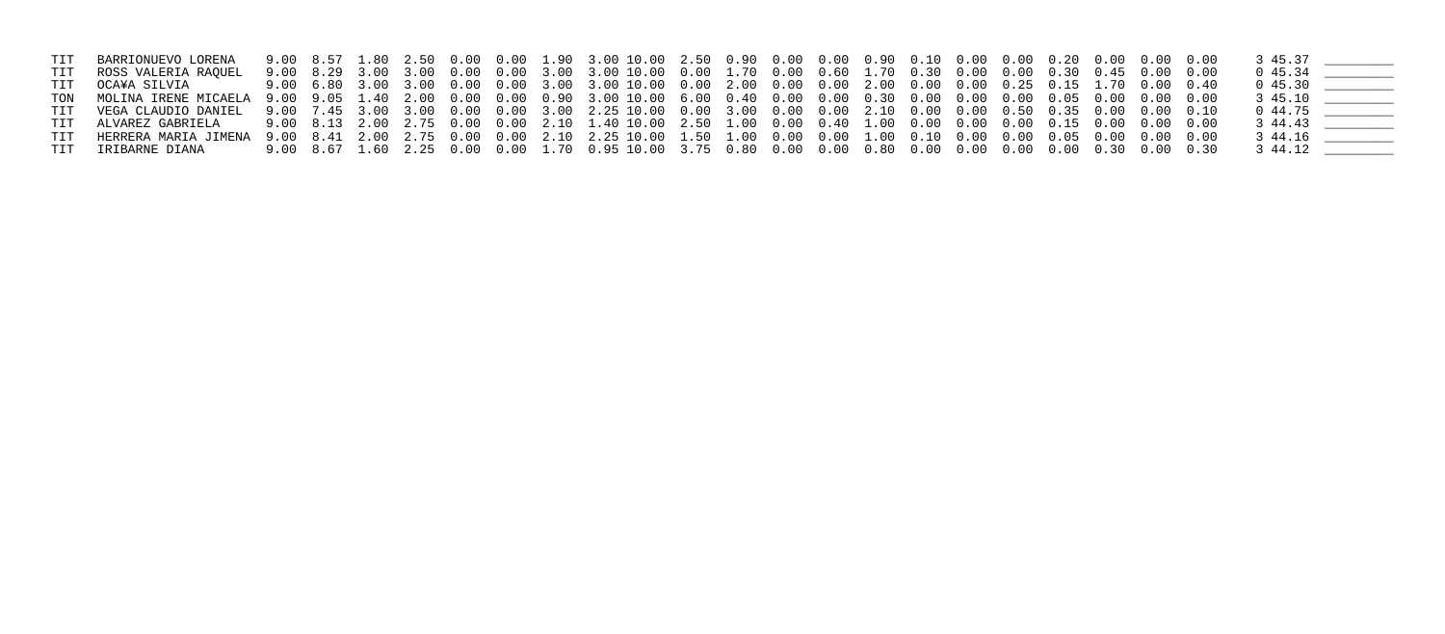| TIT BARRIONUEVO LORENA                                                                                                            |  |  |  | 9.00 8.57 1.80 2.50 0.00 0.00 1.90 3.00 10.00 2.50 0.90 0.00 0.00 0.90 0.10 0.00 0.00 0.20 0.00 0.00 0.00 |  |  |  |  |  |  | 3 45.37               |  |
|-----------------------------------------------------------------------------------------------------------------------------------|--|--|--|-----------------------------------------------------------------------------------------------------------|--|--|--|--|--|--|-----------------------|--|
| TIT KOSS VALERIA RAQUEL                                                                                                           |  |  |  |                                                                                                           |  |  |  |  |  |  | 045.34                |  |
| TIT OCA¥A SILVIA                                                                                                                  |  |  |  |                                                                                                           |  |  |  |  |  |  |                       |  |
|                                                                                                                                   |  |  |  |                                                                                                           |  |  |  |  |  |  | $3\;45.10$ __________ |  |
| TIT VEGA CLAUDIO DANIEL 9.00 7.45 3.00 3.00 0.00 0.00 3.00 2.25 10.00 0.00 3.00 0.00 0.00 2.10 0.00 0.00 0.50 0.35 0.00 0.00 0.10 |  |  |  |                                                                                                           |  |  |  |  |  |  | 0 44.75               |  |
| TIT ALVAREZ GABRIELA                                                                                                              |  |  |  |                                                                                                           |  |  |  |  |  |  | 3 44.43               |  |
|                                                                                                                                   |  |  |  |                                                                                                           |  |  |  |  |  |  | 3 44.16               |  |
| TIT IRIBARNE DIANA                                                                                                                |  |  |  |                                                                                                           |  |  |  |  |  |  | 3 44.12               |  |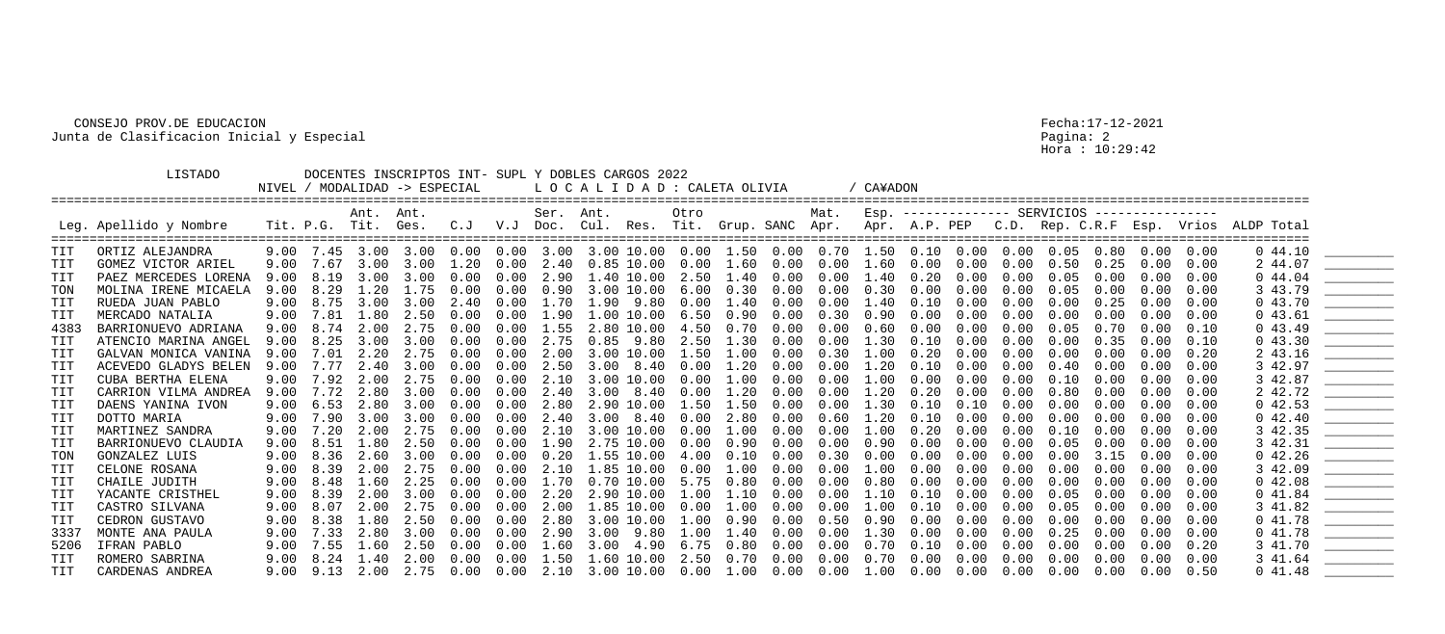Hora : 10:29:42

|            | LISTADO                |      |                   | NIVEL / MODALIDAD -> ESPECIAL    |      |      |      |                   | DOCENTES INSCRIPTOS INT- SUPL Y DOBLES CARGOS 2022<br>LOCALIDAD : CALETA OLIVIA |                       |             |                       |      |      | / CA¥ADON  |      |      |      |      |      |                                                |            |                                                                                                 |                                                                                                                                                                                                                                                                                                                                                                                                                                                                                                                                                        |
|------------|------------------------|------|-------------------|----------------------------------|------|------|------|-------------------|---------------------------------------------------------------------------------|-----------------------|-------------|-----------------------|------|------|------------|------|------|------|------|------|------------------------------------------------|------------|-------------------------------------------------------------------------------------------------|--------------------------------------------------------------------------------------------------------------------------------------------------------------------------------------------------------------------------------------------------------------------------------------------------------------------------------------------------------------------------------------------------------------------------------------------------------------------------------------------------------------------------------------------------------|
|            | Leg. Apellido y Nombre |      |                   | Ant. Ant.<br>Tit. P.G. Tit. Ges. |      |      |      | Ser. Ant.         |                                                                                 |                       | Otro        |                       |      | Mat. |            |      |      |      |      |      | Esp. -------------- SERVICIOS ---------------- |            | C.J V.J Doc. Cul. Res. Tit. Grup. SANC Apr. Apr. A.P. PEP C.D. Rep. C.R.F Esp. Vrios ALDP Total |                                                                                                                                                                                                                                                                                                                                                                                                                                                                                                                                                        |
| TIT        | ORTIZ ALEJANDRA        |      |                   |                                  |      |      |      |                   |                                                                                 |                       |             |                       |      |      |            |      |      |      |      |      | $0.00 \quad 0.00$                              |            | 044.10                                                                                          |                                                                                                                                                                                                                                                                                                                                                                                                                                                                                                                                                        |
| <b>TIT</b> | GOMEZ VICTOR ARIEL     |      | 9.00 7.67         | 3.00                             | 3.00 | 1.20 | 0.00 |                   | 2.40 0.85 10.00 0.00 1.60                                                       |                       |             |                       | 0.00 | 0.00 | 1.60       | 0.00 | 0.00 | 0.00 | 0.50 | 0.25 | 0.00                                           | 0.00       | 2 44.07                                                                                         |                                                                                                                                                                                                                                                                                                                                                                                                                                                                                                                                                        |
| TIT        | PAEZ MERCEDES LORENA   | 9.00 | 8.19              | 3.00                             | 3.00 | 0.00 | 0.00 | 2.90              |                                                                                 | 1.40 10.00            |             | $2.50$ $1.40$         | 0.00 | 0.00 | 1.40       | 0.20 | 0.00 | 0.00 | 0.05 | 0.00 | 0.00                                           | 0.00       | 0.44.04                                                                                         |                                                                                                                                                                                                                                                                                                                                                                                                                                                                                                                                                        |
| TON        | MOLINA IRENE MICAELA   | 9.00 | 8.29              | 1.20                             | 1.75 | 0.00 | 0.00 | 0.90              |                                                                                 | 3.00 10.00            | 6.00        | 0.30                  | 0.00 | 0.00 | 0.30       | 0.00 | 0.00 | 0.00 | 0.05 | 0.00 | 0.00                                           | 0.00       | 3 43.79                                                                                         |                                                                                                                                                                                                                                                                                                                                                                                                                                                                                                                                                        |
| <b>TIT</b> | RUEDA JUAN PABLO       | 9.00 | 8.75              | 3.00                             | 3.00 | 2.40 | 0.00 | 1.70              |                                                                                 | 1.90 9.80             | 0.00        | $1.40\,$              | 0.00 | 0.00 | 1.40       | 0.10 | 0.00 | 0.00 | 0.00 | 0.25 | 0.00                                           | 0.00       | 043.70                                                                                          |                                                                                                                                                                                                                                                                                                                                                                                                                                                                                                                                                        |
| TIT        | MERCADO NATALIA        | 9.00 | 7.81              | 1.80                             | 2.50 | 0.00 |      | $0.00 \quad 1.90$ |                                                                                 | $1.00$ $10.00$ $6.50$ |             | 0.90                  | 0.00 | 0.30 | 0.90       | 0.00 | 0.00 | 0.00 | 0.00 | 0.00 | 0.00                                           | 0.00       | 043.61                                                                                          |                                                                                                                                                                                                                                                                                                                                                                                                                                                                                                                                                        |
| 4383       | BARRIONUEVO ADRIANA    | 9.00 | 8.74              | 2.00                             | 2.75 | 0.00 | 0.00 | 1.55              |                                                                                 | 2.80 10.00            | 4.50        | 0.70                  | 0.00 | 0.00 | 0.60       | 0.00 | 0.00 | 0.00 | 0.05 | 0.70 | 0.00                                           | 0.10       | 043.49                                                                                          |                                                                                                                                                                                                                                                                                                                                                                                                                                                                                                                                                        |
| <b>TIT</b> | ATENCIO MARINA ANGEL   | 9.00 | 8.25              | 3.00                             | 3.00 | 0.00 | 0.00 | 2.75              |                                                                                 |                       |             | $0.85$ 9.80 2.50 1.30 | 0.00 | 0.00 | 1.30       | 0.10 | 0.00 | 0.00 | 0.00 | 0.35 | 0.00                                           | 0.10       | 043.30                                                                                          |                                                                                                                                                                                                                                                                                                                                                                                                                                                                                                                                                        |
| TIT        | GALVAN MONICA VANINA   | 9.00 | 7.01              | 2.20                             | 2.75 | 0.00 | 0.00 | $2 \, . \, 00$    |                                                                                 | 3.00 10.00            | 1.50        | 1.00                  | 0.00 | 0.30 | $1\,.\,00$ | 0.20 | 0.00 | 0.00 | 0.00 | 0.00 | 0.00                                           | $0\,.\,20$ | 2 43.16                                                                                         |                                                                                                                                                                                                                                                                                                                                                                                                                                                                                                                                                        |
| TIT        | ACEVEDO GLADYS BELEN   | 9.00 |                   | 2.40                             | 3.00 | 0.00 | 0.00 | 2.50              |                                                                                 | $3.00$ $8.40$         | 0.00        | 1.20                  | 0.00 | 0.00 | 1.20       | 0.10 | 0.00 | 0.00 | 0.40 | 0.00 | 0.00                                           | 0.00       | 3 42.97                                                                                         | <u> 2007 - Jan Samuel Barbara, prins</u>                                                                                                                                                                                                                                                                                                                                                                                                                                                                                                               |
| <b>TIT</b> | CUBA BERTHA ELENA      | 9.00 | 7.92              | 2.00                             | 2.75 | 0.00 | 0.00 | 2.10              |                                                                                 | 3.00 10.00            | 0.00        | 1.00                  | 0.00 | 0.00 | 1.00       | 0.00 | 0.00 | 0.00 | 0.10 | 0.00 | 0.00                                           | 0.00       | 3 42.87                                                                                         |                                                                                                                                                                                                                                                                                                                                                                                                                                                                                                                                                        |
| TIT        | CARRION VILMA ANDREA   | 9.00 | 7.72              | 2.80                             | 3.00 | 0.00 | 0.00 | 2.40              |                                                                                 | $3.00$ $8.40$ $0.00$  |             | 1.20                  | 0.00 | 0.00 | 1.20       | 0.20 | 0.00 | 0.00 | 0.80 | 0.00 | 0.00                                           | 0.00       | 2 42.72                                                                                         |                                                                                                                                                                                                                                                                                                                                                                                                                                                                                                                                                        |
| TIT        | DAENS YANINA IVON      | 9.00 | 6.53              | 2.80                             | 3.00 | 0.00 | 0.00 | 2.80              |                                                                                 |                       |             | 2.90 10.00 1.50 1.50  | 0.00 | 0.00 | 1.30       | 0.10 | 0.10 | 0.00 | 0.00 | 0.00 | 0.00                                           | 0.00       | 042.53                                                                                          | $\frac{1}{1}$                                                                                                                                                                                                                                                                                                                                                                                                                                                                                                                                          |
| TIT        | DOTTO MARIA            | 9.00 | 7.90              | 3.00                             | 3.00 | 0.00 | 0.00 | 2.40              |                                                                                 | $3.00$ $8.40$         | 0.00        | 2.80                  | 0.00 | 0.60 | 1.20       | 0.10 | 0.00 | 0.00 | 0.00 | 0.00 | 0.00                                           | 0.00       | 042.40                                                                                          | $\begin{array}{c} \begin{array}{c} \begin{array}{c} \begin{array}{c} \end{array} \\ \end{array} \end{array} \end{array} \end{array} \end{array} \end{array} \begin{array}{c} \begin{array}{c} \begin{array}{c} \end{array} \\ \end{array} \end{array} \begin{array}{c} \begin{array}{c} \end{array} \end{array} \end{array} \begin{array}{c} \begin{array}{c} \end{array} \end{array} \end{array} \begin{array}{c} \begin{array}{c} \end{array} \end{array} \end{array} \begin{array}{c} \begin{array}{c} \end{array} \end{array} \end{array} \begin{$ |
| TIT        | MARTINEZ SANDRA        | 9.00 | 7.20              | 2.00                             | 2.75 | 0.00 | 0.00 | 2.10              |                                                                                 | 3.00 10.00            | 0.00        | 1.00                  | 0.00 | 0.00 | 1.00       | 0.20 | 0.00 | 0.00 | 0.10 | 0.00 | 0.00                                           | 0.00       | 3 42.35                                                                                         | <u>__________________</u>                                                                                                                                                                                                                                                                                                                                                                                                                                                                                                                              |
| TIT        | BARRIONUEVO CLAUDIA    | 9.00 | 8.51              | 1.80                             | 2.50 | 0.00 | 0.00 | 1.90              |                                                                                 | 2.75 10.00            | $0\,.\,00$  | 0.90                  | 0.00 | 0.00 | 0.90       | 0.00 | 0.00 | 0.00 | 0.05 | 0.00 | 0.00                                           | 0.00       | 3 42.31                                                                                         |                                                                                                                                                                                                                                                                                                                                                                                                                                                                                                                                                        |
| TON        | GONZALEZ LUIS          |      | $9.00 \quad 8.36$ | 2.60                             | 3.00 | 0.00 | 0.00 | 0.20              |                                                                                 | 1.55 10.00            | $4\,.$ $00$ | 0.10                  | 0.00 | 0.30 | 0.00       | 0.00 | 0.00 | 0.00 | 0.00 | 3.15 | 0.00                                           | 0.00       | $0\;42.26$                                                                                      |                                                                                                                                                                                                                                                                                                                                                                                                                                                                                                                                                        |
| TIT        | CELONE ROSANA          | 9.00 | 8.39              | 2.00                             | 2.75 | 0.00 | 0.00 | 2.10              |                                                                                 | 1.85 10.00            | 0.00        | 1.00                  | 0.00 | 0.00 | 1.00       | 0.00 | 0.00 | 0.00 | 0.00 | 0.00 | 0.00                                           | 0.00       | 3 42.09                                                                                         |                                                                                                                                                                                                                                                                                                                                                                                                                                                                                                                                                        |
| TIT        | CHAILE JUDITH          |      | 9.00 8.48         | 1.60                             | 2.25 | 0.00 |      |                   | $0.00 \quad 1.70 \quad 0.70 \quad 10.00 \quad 5.75$                             |                       |             | 0.80                  | 0.00 | 0.00 | 0.80       | 0.00 | 0.00 | 0.00 | 0.00 | 0.00 | 0.00                                           | 0.00       | 042.08                                                                                          |                                                                                                                                                                                                                                                                                                                                                                                                                                                                                                                                                        |
| TIT        | YACANTE CRISTHEL       | 9.00 | 8.39              | 2.00                             | 3.00 | 0.00 | 0.00 | 2.20              |                                                                                 | 2.90 10.00            | 1.00        | 1.10                  | 0.00 | 0.00 | 1.10       | 0.10 | 0.00 | 0.00 | 0.05 | 0.00 | 0.00                                           | 0.00       | 041.84                                                                                          |                                                                                                                                                                                                                                                                                                                                                                                                                                                                                                                                                        |
| TIT        | CASTRO SILVANA         | 9.00 |                   |                                  | 2.75 | 0.00 | 0.00 | 2.00              |                                                                                 | 1.85 10.00            | 0.00        | 1.00                  | 0.00 | 0.00 | 1.00       | 0.10 | 0.00 | 0.00 | 0.05 |      | 0.00                                           | 0.00       | 3 41.82                                                                                         |                                                                                                                                                                                                                                                                                                                                                                                                                                                                                                                                                        |
| TIT        | CEDRON GUSTAVO         | 9.00 | 8.38              | 1.80                             | 2.50 | 0.00 | 0.00 | 2.80              |                                                                                 | 3.00 10.00            | $1\,.\,00$  | 0.90                  | 0.00 | 0.50 | 0.90       | 0.00 | 0.00 | 0.00 | 0.00 | 0.00 | 0.00                                           | 0.00       | 041.78                                                                                          |                                                                                                                                                                                                                                                                                                                                                                                                                                                                                                                                                        |
| 3337       | MONTE ANA PAULA        | 9.00 | 7.33              | 2.80                             | 3.00 | 0.00 | 0.00 | 2.90              | 3.00                                                                            | 9.80                  | 1.00        | 1.40                  | 0.00 | 0.00 | 1.30       | 0.00 | 0.00 | 0.00 | 0.25 | 0.00 | 0.00                                           | 0.00       | 041.78                                                                                          | <u>_________________</u>                                                                                                                                                                                                                                                                                                                                                                                                                                                                                                                               |
| 5206       | IFRAN PABLO            | 9.00 | 7.55              | 1.60                             | 2.50 | 0.00 | 0.00 | 1.60              | 3.00                                                                            | 4.90                  | 6.75        | 0.80                  | 0.00 | 0.00 | 0.70       | 0.10 | 0.00 | 0.00 | 0.00 | 0.00 | 0.00                                           | 0.20       | 3 41.70                                                                                         |                                                                                                                                                                                                                                                                                                                                                                                                                                                                                                                                                        |
| TIT        | ROMERO SABRINA         |      | 9.00 8.24         | 1.40                             | 2.00 | 0.00 |      |                   | $0.00 \quad 1.50 \quad 1.60 \quad 10.00$                                        |                       |             | 2.50 0.70             | 0.00 | 0.00 | 0.70       | 0.00 | 0.00 | 0.00 | 0.00 | 0.00 | 0.00                                           | 0.00       | 3 41.64                                                                                         |                                                                                                                                                                                                                                                                                                                                                                                                                                                                                                                                                        |
| <b>TIT</b> | CARDENAS ANDREA        |      | $9.00$ $9.13$     | 2.00                             | 2.75 | 0.00 | 0.00 | 2.10              |                                                                                 | 3.00 10.00            | 0.00        | 1.00                  | 0.00 | 0.00 | $1\,.\,00$ | 0.00 | 0.00 | 0.00 | 0.00 | 0.00 | 0.00                                           | 0.50       | 041.48                                                                                          |                                                                                                                                                                                                                                                                                                                                                                                                                                                                                                                                                        |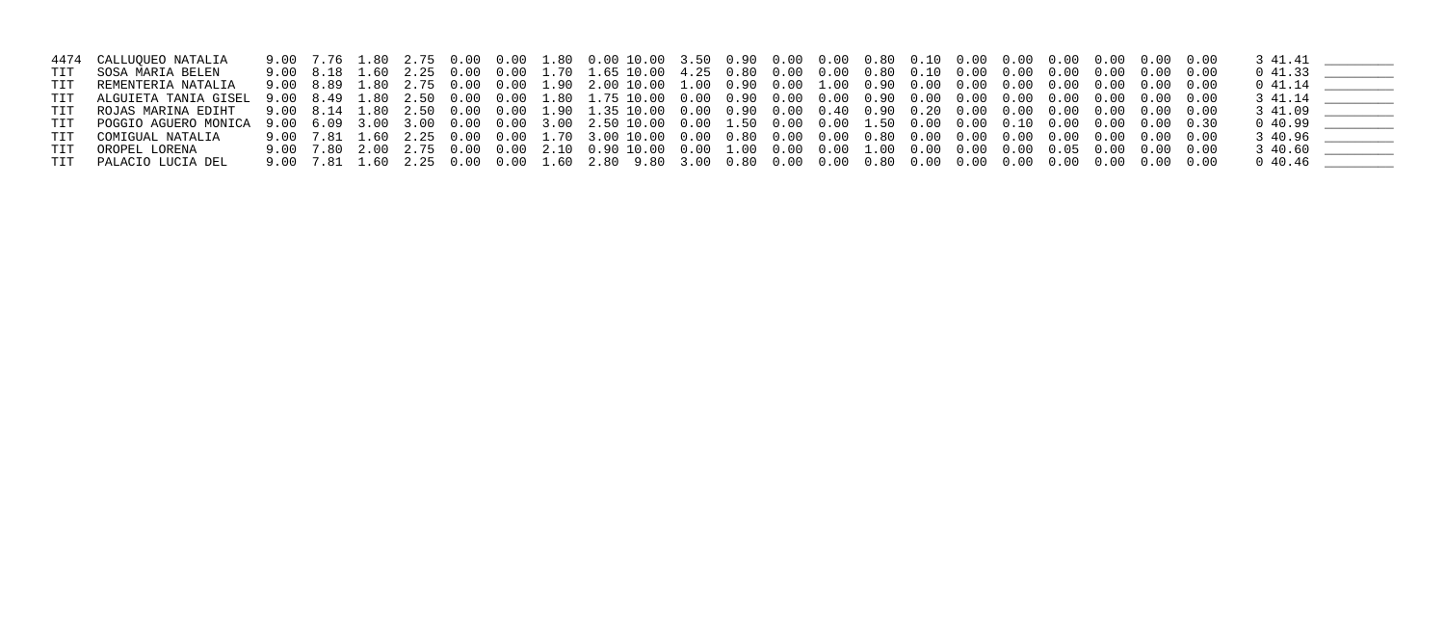|     | 4474 CALLUQUEO NATALIA |  |  |  |  |  |  |  |  |  |  |            |  |
|-----|------------------------|--|--|--|--|--|--|--|--|--|--|------------|--|
|     | TIT SOSA MARIA BELEN   |  |  |  |  |  |  |  |  |  |  | 041.33     |  |
| TIT | REMENTERIA NATALIA     |  |  |  |  |  |  |  |  |  |  | 0 41.14    |  |
|     |                        |  |  |  |  |  |  |  |  |  |  |            |  |
|     |                        |  |  |  |  |  |  |  |  |  |  |            |  |
|     |                        |  |  |  |  |  |  |  |  |  |  | $0\;40.99$ |  |
|     | TIT COMIGUAL NATALIA   |  |  |  |  |  |  |  |  |  |  | 3 40.96    |  |
|     | TIT OROPEL LORENA      |  |  |  |  |  |  |  |  |  |  | 3 40.60    |  |
|     | TIT PALACIO LUCIA DEL  |  |  |  |  |  |  |  |  |  |  | 040.46     |  |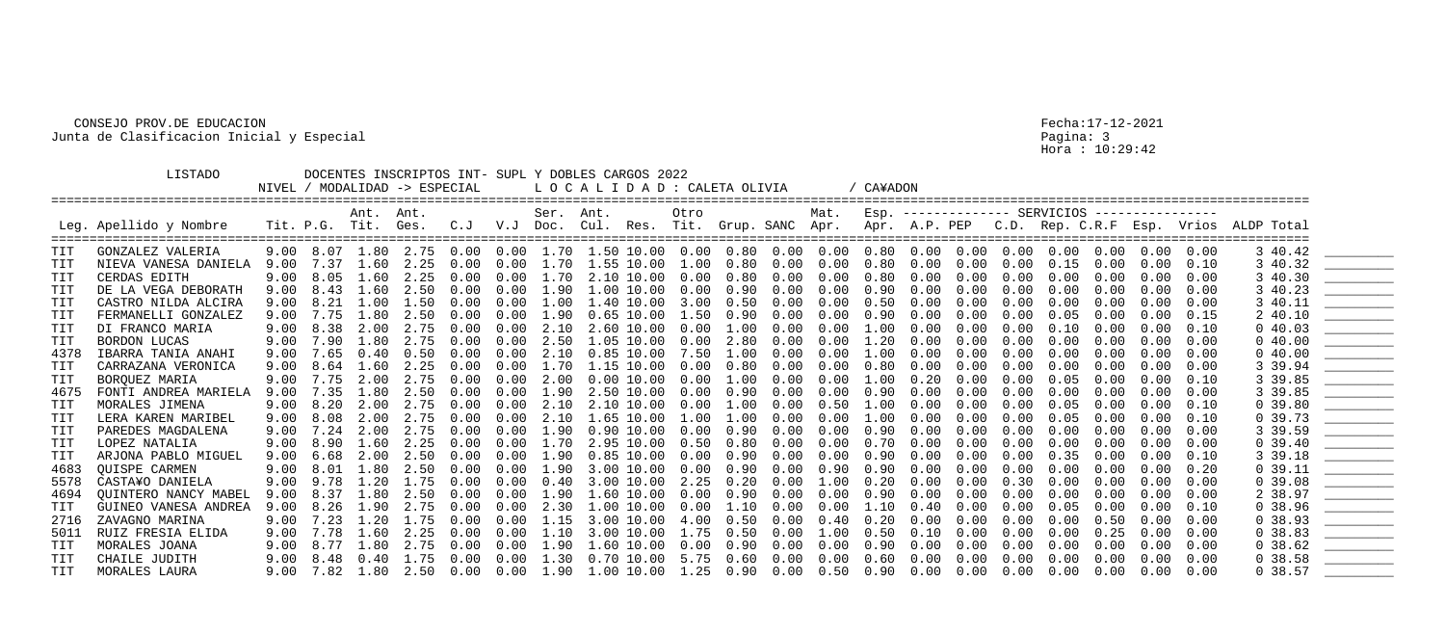Hora : 10:29:42

|            | LISTADO                |      |                | NIVEL / MODALIDAD -> ESPECIAL |      |      |      |                       | DOCENTES INSCRIPTOS INT- SUPL Y DOBLES CARGOS 2022<br>LOCALIDAD: CALETA OLIVIA |                   |            |      |      |                                                                                                    | / CA¥ADON  |      |      |      |                                 |      |                   |      |                                                                                    |                                                                                                                                                                                                                                                                                                                                                                                                                                                                                                                                                        |
|------------|------------------------|------|----------------|-------------------------------|------|------|------|-----------------------|--------------------------------------------------------------------------------|-------------------|------------|------|------|----------------------------------------------------------------------------------------------------|------------|------|------|------|---------------------------------|------|-------------------|------|------------------------------------------------------------------------------------|--------------------------------------------------------------------------------------------------------------------------------------------------------------------------------------------------------------------------------------------------------------------------------------------------------------------------------------------------------------------------------------------------------------------------------------------------------------------------------------------------------------------------------------------------------|
|            | Leg. Apellido y Nombre |      | Tit. P.G. Tit. | Ant. Ant.                     | Ges. | C. J |      | Ser. Ant.<br>V.J Doc. |                                                                                |                   | Otro       |      |      | Mat.                                                                                               |            |      |      |      | $ESP.$ -------------- SERVICIOS |      | ----------------  |      | Cul. Res. Tit. Grup. SANC Apr. Apr. A.P. PEP C.D. Rep. C.R.F Esp. Vrios ALDP Total |                                                                                                                                                                                                                                                                                                                                                                                                                                                                                                                                                        |
| TIT        | GONZALEZ VALERIA       |      |                | 9.00 8.07 1.80 2.75           |      | 0.00 |      |                       |                                                                                |                   |            |      |      | $0.00$ $1.70$ $1.50$ $10.00$ $0.00$ $0.80$ $0.00$ $0.00$ $0.80$ $0.00$ $0.00$ $0.00$ $0.00$ $0.00$ |            |      |      |      |                                 |      | $0.00 \quad 0.00$ |      | 3 40.42                                                                            |                                                                                                                                                                                                                                                                                                                                                                                                                                                                                                                                                        |
| <b>TIT</b> | NIEVA VANESA DANIELA   | 9.00 | 7.37           | 1.60                          | 2.25 | 0.00 | 0.00 |                       | 1.70 1.55 10.00                                                                |                   | 1.00       | 0.80 | 0.00 | 0.00                                                                                               | 0.80       | 0.00 | 0.00 | 0.00 | 0.15                            | 0.00 | 0.00              | 0.10 | 3 40.32                                                                            | $\begin{array}{c} \begin{array}{c} \begin{array}{c} \begin{array}{c} \end{array} \\ \end{array} \end{array} \end{array} \end{array} \end{array} \end{array} \begin{array}{c} \begin{array}{c} \begin{array}{c} \end{array} \\ \end{array} \end{array} \begin{array}{c} \begin{array}{c} \end{array} \end{array} \end{array} \begin{array}{c} \begin{array}{c} \end{array} \end{array} \end{array} \begin{array}{c} \begin{array}{c} \end{array} \end{array} \end{array} \begin{array}{c} \begin{array}{c} \end{array} \end{array} \end{array} \begin{$ |
| TIT        | CERDAS EDITH           | 9.00 | 8.05           | 1.60                          | 2.25 | 0.00 | 0.00 | 1.70                  |                                                                                | 2.10 10.00        | 0.00       | 0.80 | 0.00 | 0.00                                                                                               | 0.80       | 0.00 | 0.00 | 0.00 | 0.00                            | 0.00 | 0.00              | 0.00 | 3 40.30                                                                            |                                                                                                                                                                                                                                                                                                                                                                                                                                                                                                                                                        |
| TIT        | DE LA VEGA DEBORATH    | 9.00 | 8.43           | 1.60                          | 2.50 | 0.00 | 0.00 | 1.90                  |                                                                                | 1.00 10.00        | 0.00       | 0.90 | 0.00 | 0.00                                                                                               | 0.90       | 0.00 | 0.00 | 0.00 | 0.00                            | 0.00 | 0.00              | 0.00 | 3 40.23                                                                            |                                                                                                                                                                                                                                                                                                                                                                                                                                                                                                                                                        |
| <b>TIT</b> | CASTRO NILDA ALCIRA    | 9.00 | 8.21           | 1.00                          | 1.50 | 0.00 | 0.00 | 1.00                  |                                                                                | 1.40 10.00        | 3.00       | 0.50 | 0.00 | 0.00                                                                                               | 0.50       | 0.00 | 0.00 | 0.00 | 0.00                            | 0.00 | 0.00              | 0.00 | 3 40.11                                                                            | $\begin{array}{c} \begin{array}{c} \begin{array}{c} \begin{array}{c} \end{array} \\ \end{array} \end{array} \end{array} \end{array} \end{array} \end{array} \begin{array}{c} \begin{array}{c} \begin{array}{c} \end{array} \\ \end{array} \end{array} \begin{array}{c} \begin{array}{c} \end{array} \end{array} \end{array} \begin{array}{c} \begin{array}{c} \end{array} \end{array} \end{array} \begin{array}{c} \begin{array}{c} \end{array} \end{array} \end{array} \begin{array}{c} \begin{array}{c} \end{array} \end{array} \end{array} \begin{$ |
| TIT        | FERMANELLI GONZALEZ    | 9.00 | 7.75           | 1.80                          | 2.50 | 0.00 | 0.00 | 1.90                  |                                                                                | $0.65$ $10.00$    | 1.50       | 0.90 | 0.00 | 0.00                                                                                               | 0.90       | 0.00 | 0.00 | 0.00 | 0.05                            | 0.00 | 0.00              | 0.15 | 2 40.10                                                                            |                                                                                                                                                                                                                                                                                                                                                                                                                                                                                                                                                        |
| <b>TIT</b> | DI FRANCO MARIA        | 9.00 | 8.38           | 2.00                          | 2.75 | 0.00 | 0.00 | 2.10                  |                                                                                | 2.60 10.00        | 0.00       | 1.00 | 0.00 | 0.00                                                                                               | $1\,.\,00$ | 0.00 | 0.00 | 0.00 | 0.10                            | 0.00 | 0.00              | 0.10 | 040.03                                                                             |                                                                                                                                                                                                                                                                                                                                                                                                                                                                                                                                                        |
| <b>TIT</b> | <b>BORDON LUCAS</b>    |      | 9.00 7.90      | 1.80                          | 2.75 | 0.00 | 0.00 | 2.50                  |                                                                                | 1.05 10.00        | 0.00       | 2.80 | 0.00 | 0.00                                                                                               | 1.20       | 0.00 | 0.00 | 0.00 | 0.00                            | 0.00 | 0.00              | 0.00 | 040.00                                                                             |                                                                                                                                                                                                                                                                                                                                                                                                                                                                                                                                                        |
| 4378       | IBARRA TANIA ANAHI     | 9.00 | 7.65           | 0.40                          | 0.50 | 0.00 | 0.00 | 2.10                  |                                                                                | $0.85$ $10.00$    | 7.50       | 1.00 | 0.00 | 0.00                                                                                               | 1.00       | 0.00 | 0.00 | 0.00 | 0.00                            | 0.00 | 0.00              | 0.00 | 040.00                                                                             |                                                                                                                                                                                                                                                                                                                                                                                                                                                                                                                                                        |
| TIT        | CARRAZANA VERONICA     | 9.00 | 8.64           | 1.60                          | 2.25 | 0.00 | 0.00 | 1.70                  |                                                                                | 1.15 10.00        | 0.00       | 0.80 | 0.00 | 0.00                                                                                               | 0.80       | 0.00 | 0.00 | 0.00 | 0.00                            | 0.00 | 0.00              | 0.00 | 3 39.94                                                                            |                                                                                                                                                                                                                                                                                                                                                                                                                                                                                                                                                        |
| <b>TIT</b> | BOROUEZ MARIA          | 9.00 | 7.75           | 2.00                          | 2.75 | 0.00 | 0.00 | 2.00                  |                                                                                | $0.00$ $10.00$    | 0.00       | 1.00 | 0.00 | 0.00                                                                                               | 1.00       | 0.20 | 0.00 | 0.00 | 0.05                            | 0.00 | 0.00              | 0.10 | 3 39.85                                                                            |                                                                                                                                                                                                                                                                                                                                                                                                                                                                                                                                                        |
| 4675       | FONTI ANDREA MARIELA   | 9.00 | 7.35           | 1.80                          | 2.50 | 0.00 | 0.00 | 1.90                  |                                                                                | 2.50 10.00        | 0.00       | 0.90 | 0.00 | 0.00                                                                                               | 0.90       | 0.00 | 0.00 | 0.00 | 0.00                            | 0.00 | 0.00              | 0.00 | 3 39.85                                                                            |                                                                                                                                                                                                                                                                                                                                                                                                                                                                                                                                                        |
| TIT        | MORALES JIMENA         | 9.00 | 8.20           | 2.00                          | 2.75 | 0.00 | 0.00 | 2.10                  |                                                                                | 2.10 10.00        | 0.00       | 1.00 | 0.00 | 0.50                                                                                               | 1.00       | 0.00 | 0.00 | 0.00 | 0.05                            | 0.00 | 0.00              | 0.10 | 0, 39.80                                                                           | $\begin{array}{c} \begin{array}{c} \begin{array}{c} \begin{array}{c} \end{array} \\ \end{array} \end{array} \end{array} \end{array} \end{array} \end{array} \begin{array}{c} \begin{array}{c} \begin{array}{c} \end{array} \\ \end{array} \end{array} \begin{array}{c} \begin{array}{c} \end{array} \end{array} \end{array} \begin{array}{c} \begin{array}{c} \end{array} \end{array} \end{array} \begin{array}{c} \begin{array}{c} \end{array} \end{array} \end{array} \begin{array}{c} \begin{array}{c} \end{array} \end{array} \end{array} \begin{$ |
| <b>TIT</b> | LERA KAREN MARIBEL     | 9.00 | 8.08           | 2.00                          | 2.75 | 0.00 | 0.00 | 2.10                  |                                                                                | 1.65 10.00        | 1.00       | 1.00 | 0.00 | 0.00                                                                                               | $1\,.\,00$ | 0.00 | 0.00 | 0.00 | 0.05                            | 0.00 | 0.00              | 0.10 | 0.39.73                                                                            |                                                                                                                                                                                                                                                                                                                                                                                                                                                                                                                                                        |
| TIT        | PAREDES MAGDALENA      | 9.00 | 7.24           | 2.00                          | 2.75 | 0.00 | 0.00 | 1.90                  |                                                                                | $0.90$ $10.00$    | 0.00       | 0.90 | 0.00 | 0.00                                                                                               | 0.90       | 0.00 | 0.00 | 0.00 | 0.00                            | 0.00 | 0.00              | 0.00 | 3 39.59                                                                            |                                                                                                                                                                                                                                                                                                                                                                                                                                                                                                                                                        |
| TIT        | LOPEZ NATALIA          | 9.00 | 8.90           | 1.60                          | 2.25 | 0.00 | 0.00 | 1.70                  |                                                                                | 2.95 10.00        | 0.50       | 0.80 | 0.00 | 0.00                                                                                               | 0.70       | 0.00 | 0.00 | 0.00 | 0.00                            | 0.00 | 0.00              | 0.00 | 0, 39.40                                                                           |                                                                                                                                                                                                                                                                                                                                                                                                                                                                                                                                                        |
| <b>TIT</b> | ARJONA PABLO MIGUEL    | 9.00 | 6.68           | 2.00                          | 2.50 | 0.00 | 0.00 | 1.90                  |                                                                                | $0.85$ $10.00$    | 0.00       | 0.90 | 0.00 | 0.00                                                                                               | 0.90       | 0.00 | 0.00 | 0.00 | 0.35                            | 0.00 | 0.00              | 0.10 | 3 39.18                                                                            |                                                                                                                                                                                                                                                                                                                                                                                                                                                                                                                                                        |
| 4683       | <b>QUISPE CARMEN</b>   | 9.00 | 8.01           | 1.80                          | 2.50 | 0.00 | 0.00 | 1.90                  |                                                                                | 3.00 10.00        | 0.00       | 0.90 | 0.00 | 0.90                                                                                               | 0.90       | 0.00 | 0.00 | 0.00 | 0.00                            | 0.00 | 0.00              | 0.20 | 0.39.11                                                                            |                                                                                                                                                                                                                                                                                                                                                                                                                                                                                                                                                        |
| 5578       | CASTA¥O DANIELA        | 9.00 | 9.78           | 1.20                          | 1.75 | 0.00 | 0.00 | 0.40                  |                                                                                | 3.00 10.00        | 2.25       | 0.20 | 0.00 | 1.00                                                                                               | 0.20       | 0.00 | 0.00 | 0.30 | 0.00                            | 0.00 | 0.00              | 0.00 | 0.39.08                                                                            |                                                                                                                                                                                                                                                                                                                                                                                                                                                                                                                                                        |
| 4694       | OUINTERO NANCY MABEL   | 9.00 | 8.37           | 1.80                          | 2.50 | 0.00 | 0.00 | 1.90                  |                                                                                | 1.60 10.00        | 0.00       | 0.90 | 0.00 | 0.00                                                                                               | 0.90       | 0.00 | 0.00 | 0.00 | 0.00                            | 0.00 | 0.00              | 0.00 | 2 38.97                                                                            |                                                                                                                                                                                                                                                                                                                                                                                                                                                                                                                                                        |
| TIT        | GUINEO VANESA ANDREA   | 9.00 | 8.26           | 1.90                          | 2.75 | 0.00 | 0.00 | 2.30                  |                                                                                | $1.00\;10.00$     | 0.00       | 1.10 | 0.00 | 0.00                                                                                               | 1.10       | 0.40 | 0.00 | 0.00 | 0.05                            |      | 0.00              | 0.10 | 0, 38.96                                                                           | <u> La Carlo de Santa Carlo de Santa C</u>                                                                                                                                                                                                                                                                                                                                                                                                                                                                                                             |
| 2716       | ZAVAGNO MARINA         | 9.00 | 7.23           | 1.20                          | 1.75 | 0.00 | 0.00 | 1.15                  |                                                                                | 3.00 10.00        | $4\,.\,00$ | 0.50 | 0.00 | 0.40                                                                                               | 0.20       | 0.00 | 0.00 | 0.00 | 0.00                            | 0.50 | 0.00              | 0.00 | 0, 38.93                                                                           |                                                                                                                                                                                                                                                                                                                                                                                                                                                                                                                                                        |
| 5011       | RUIZ FRESIA ELIDA      | 9.00 | 7.78           | 1.60                          | 2.25 | 0.00 | 0.00 | 1.10                  |                                                                                | 3.00 10.00        | 1.75       | 0.50 | 0.00 | 1.00                                                                                               | 0.50       | 0.10 | 0.00 | 0.00 | 0.00                            | 0.25 | 0.00              | 0.00 | 0.38.83                                                                            |                                                                                                                                                                                                                                                                                                                                                                                                                                                                                                                                                        |
| <b>TIT</b> | MORALES JOANA          | 9.00 |                | 1.80                          | 2.75 | 0.00 | 0.00 | 1.90                  |                                                                                | 1.60 10.00        | 0.00       | 0.90 | 0.00 | 0.00                                                                                               | 0.90       | 0.00 | 0.00 | 0.00 | 0.00                            | 0.00 | 0.00              | 0.00 | 0, 38.62                                                                           |                                                                                                                                                                                                                                                                                                                                                                                                                                                                                                                                                        |
| TIT        | CHAILE JUDITH          | 9.00 | 8.48           | 0.40                          | 1.75 | 0.00 | 0.00 | 1.30                  |                                                                                | $0.70$ 10.00 5.75 |            | 0.60 | 0.00 | 0.00                                                                                               | 0.60       | 0.00 | 0.00 | 0.00 | 0.00                            | 0.00 | 0.00              | 0.00 | 0.38.58                                                                            |                                                                                                                                                                                                                                                                                                                                                                                                                                                                                                                                                        |
| <b>TIT</b> | MORALES LAURA          | 9.00 | 7.82           | 1.80                          | 2.50 | 0.00 | 0.00 | 1.90                  |                                                                                | $1.00\;10.00$     | 1.25       | 0.90 | 0.00 | 0.50                                                                                               | 0.90       | 0.00 | 0.00 | 0.00 | 0.00                            | 0.00 | 0.00              | 0.00 | 0, 38.57                                                                           |                                                                                                                                                                                                                                                                                                                                                                                                                                                                                                                                                        |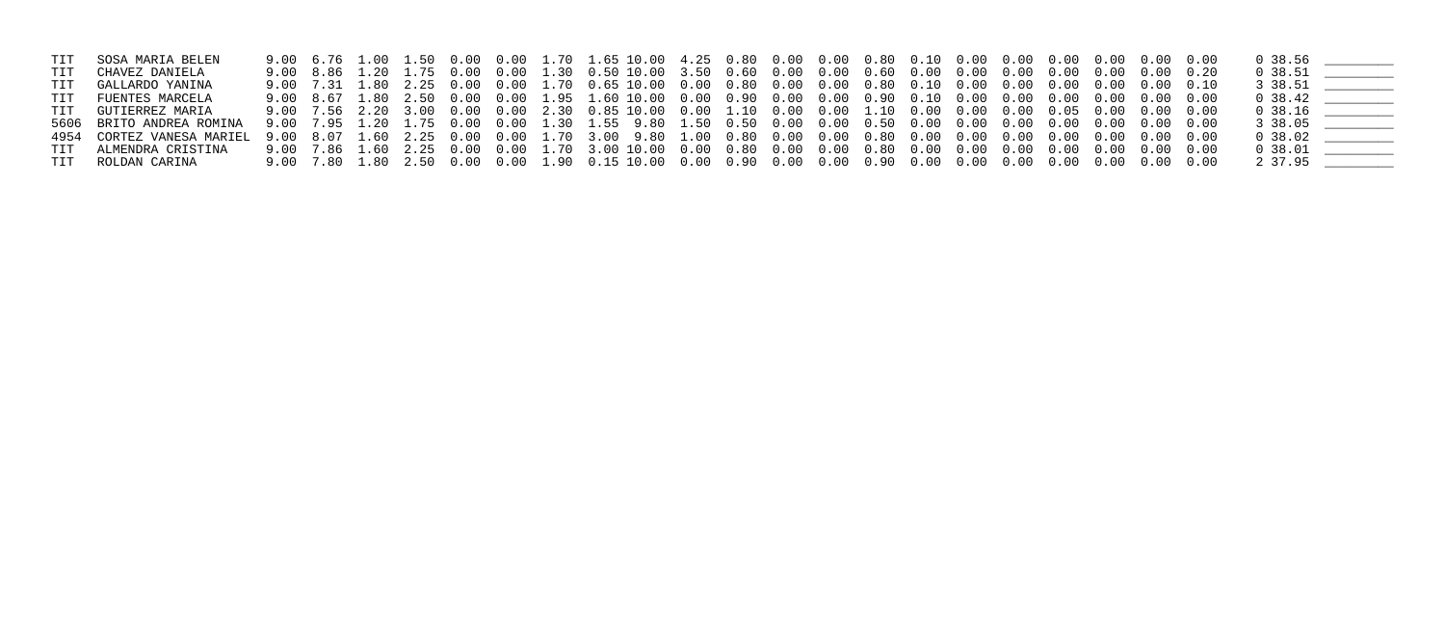| TIT GOSA MARIA BELEN      |  |  |  |  |  |  |  |  |  |  |                      |  |
|---------------------------|--|--|--|--|--|--|--|--|--|--|----------------------|--|
| TIT CHAVEZ DANIELA        |  |  |  |  |  |  |  |  |  |  | 0, 38.51             |  |
| TIT GALLARDO YANINA       |  |  |  |  |  |  |  |  |  |  | 3 38.51              |  |
| TIT FUENTES MARCELA       |  |  |  |  |  |  |  |  |  |  | 0 38.42              |  |
| TIT GUTIERREZ MARIA       |  |  |  |  |  |  |  |  |  |  | $0\,38.16$ _________ |  |
| 5606 BRITO ANDREA ROMINA  |  |  |  |  |  |  |  |  |  |  | 3 38.05              |  |
| 4954 CORTEZ VANESA MARIEL |  |  |  |  |  |  |  |  |  |  | $0\,38.02$           |  |
| TIT ALMENDRA CRISTINA     |  |  |  |  |  |  |  |  |  |  | 0, 38.01             |  |
| TIT ROLDAN CARINA         |  |  |  |  |  |  |  |  |  |  | 2 37.95              |  |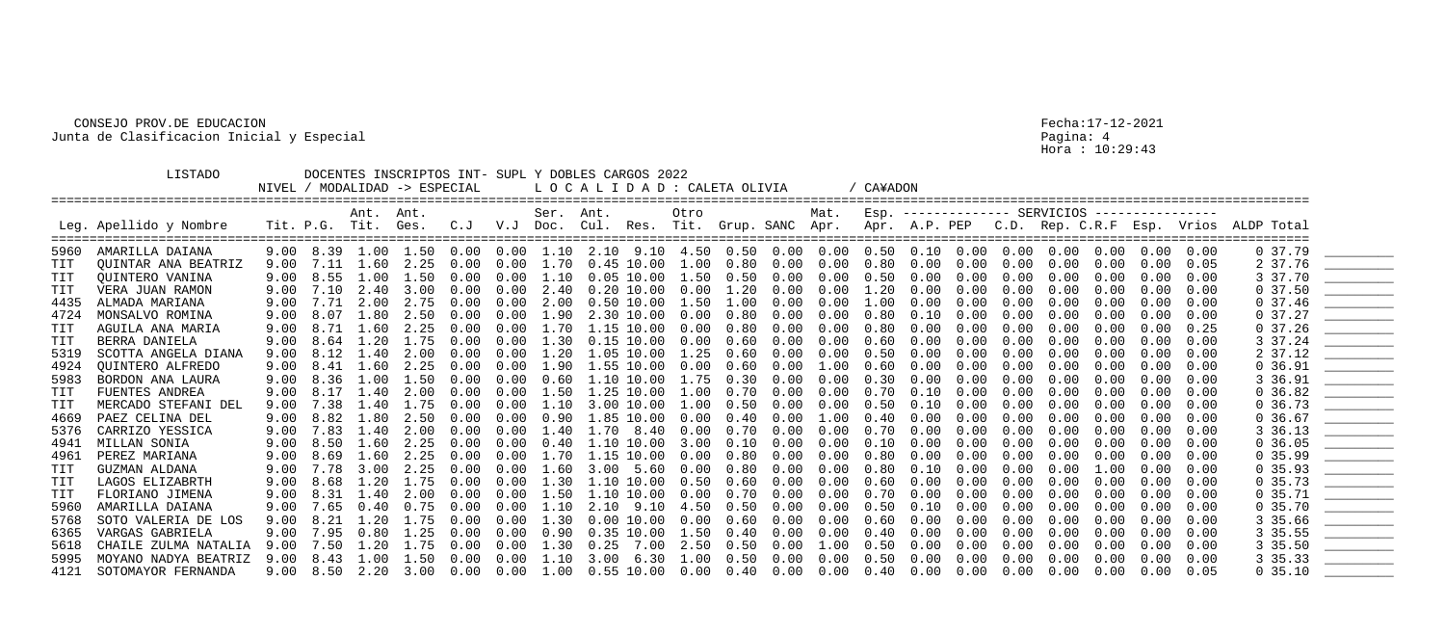Hora : 10:29:43

|            | LISTADO                                               |      |                | NIVEL / MODALIDAD -> ESPECIAL           |      |      |      |           | DOCENTES INSCRIPTOS INT- SUPL Y DOBLES CARGOS 2022<br>LOCALIDAD: CALETA OLIVIA |                   |      |      |      |      | CA¥ADON           |      |      |      |                                 |      |                   |      |                                                                                             |                                                                                                                                                                                                                                                                                                                                                                                                                                                                                                                                                        |
|------------|-------------------------------------------------------|------|----------------|-----------------------------------------|------|------|------|-----------|--------------------------------------------------------------------------------|-------------------|------|------|------|------|-------------------|------|------|------|---------------------------------|------|-------------------|------|---------------------------------------------------------------------------------------------|--------------------------------------------------------------------------------------------------------------------------------------------------------------------------------------------------------------------------------------------------------------------------------------------------------------------------------------------------------------------------------------------------------------------------------------------------------------------------------------------------------------------------------------------------------|
|            | Leg. Apellido y Nombre<br>=========================== |      | Tit. P.G. Tit. | Ant. Ant.                               | Ges. | C. J |      | Ser. Ant. |                                                                                |                   | Otro |      |      | Mat. |                   |      |      |      | $ESP.$ -------------- SERVICIOS |      | ----------------  |      | V.J Doc. Cul. Res. Tit. Grup. SANC Apr. Apr. A.P. PEP C.D. Rep. C.R.F Esp. Vrios ALDP Total |                                                                                                                                                                                                                                                                                                                                                                                                                                                                                                                                                        |
| 5960       | AMARILLA DAIANA                                       |      |                | $9.00 \quad 8.39 \quad 1.00 \quad 1.50$ |      | 0.00 |      |           |                                                                                |                   |      |      |      |      |                   |      |      |      |                                 |      | $0.00 \quad 0.00$ |      | 0, 37.79                                                                                    |                                                                                                                                                                                                                                                                                                                                                                                                                                                                                                                                                        |
| <b>TIT</b> | QUINTAR ANA BEATRIZ                                   | 9.00 | 7.11           | 1.60                                    | 2.25 | 0.00 | 0.00 | 1.70      |                                                                                | $0.45$ $10.00$    | 1.00 | 0.80 | 0.00 | 0.00 | 0.80              | 0.00 | 0.00 | 0.00 | 0.00                            | 0.00 | 0.00              | 0.05 | 2 37.76                                                                                     |                                                                                                                                                                                                                                                                                                                                                                                                                                                                                                                                                        |
| TIT        | QUINTERO VANINA                                       | 9.00 | 8.55           | .00.                                    | 1.50 | 0.00 | 0.00 | 1.10      |                                                                                | $0.05$ $10.00$    | 1.50 | 0.50 | 0.00 | 0.00 | 0.50              | 0.00 | 0.00 | 0.00 | 0.00                            | 0.00 | 0.00              | 0.00 | 3 37.70                                                                                     |                                                                                                                                                                                                                                                                                                                                                                                                                                                                                                                                                        |
| TIT        | VERA JUAN RAMON                                       | 9.00 | 7.10           | 2.40                                    | 3.00 | 0.00 | 0.00 | 2.40      |                                                                                | $0.20$ $10.00$    | 0.00 | 1.20 | 0.00 | 0.00 | 1.20              | 0.00 | 0.00 | 0.00 | 0.00                            | 0.00 | 0.00              | 0.00 | 0, 37.50                                                                                    | $\frac{1}{1}$                                                                                                                                                                                                                                                                                                                                                                                                                                                                                                                                          |
| 4435       | ALMADA MARIANA                                        | 9.00 | 7.71           | 2.00                                    | 2.75 | 0.00 | 0.00 | 2.00      |                                                                                | $0.50$ $10.00$    | 1.50 | 1.00 | 0.00 | 0.00 | 1.00              | 0.00 | 0.00 | 0.00 | 0.00                            | 0.00 | 0.00              | 0.00 | 0, 37.46                                                                                    |                                                                                                                                                                                                                                                                                                                                                                                                                                                                                                                                                        |
| 4724       | MONSALVO ROMINA                                       | 9.00 | 8.07           | 1.80                                    | 2.50 | 0.00 | 0.00 | 1.90      |                                                                                | 2.30 10.00        | 0.00 | 0.80 | 0.00 | 0.00 | 0.80              | 0.10 | 0.00 | 0.00 | 0.00                            | 0.00 | 0.00              | 0.00 | 037.27                                                                                      |                                                                                                                                                                                                                                                                                                                                                                                                                                                                                                                                                        |
| TIT        | AGUILA ANA MARIA                                      | 9.00 | 8.71           | 1.60                                    | 2.25 | 0.00 | 0.00 | 1.70      |                                                                                | 1.15 10.00        | 0.00 | 0.80 | 0.00 | 0.00 | 0.80              | 0.00 | 0.00 | 0.00 | 0.00                            | 0.00 | 0.00              | 0.25 | 037.26                                                                                      | <u>___________________</u>                                                                                                                                                                                                                                                                                                                                                                                                                                                                                                                             |
| TIT        | BERRA DANIELA                                         | 9.00 | 8.64           | 1.20                                    | 1.75 | 0.00 | 0.00 | 1.30      |                                                                                | $0.15$ $10.00$    | 0.00 | 0.60 | 0.00 | 0.00 | 0.60              | 0.00 | 0.00 | 0.00 | 0.00                            | 0.00 | 0.00              | 0.00 | 3 37.24                                                                                     |                                                                                                                                                                                                                                                                                                                                                                                                                                                                                                                                                        |
| 5319       | SCOTTA ANGELA DIANA                                   | 9.00 | 8.12           | 40                                      | 2.00 | 0.00 | 0.00 | 1.20      |                                                                                | 1.05 10.00        | 1.25 | 0.60 | 0.00 | 0.00 | 0.50              | 0.00 | 0.00 | 0.00 | 0.00                            | 0.00 | 0.00              | 0.00 | 2 37.12                                                                                     |                                                                                                                                                                                                                                                                                                                                                                                                                                                                                                                                                        |
| 4924       | QUINTERO ALFREDO                                      | 9.00 | 8.41           | 1.60                                    | 2.25 | 0.00 | 0.00 | 1.90      |                                                                                | 1.55 10.00        | 0.00 | 0.60 | 0.00 | 1.00 | 0.60              | 0.00 | 0.00 | 0.00 | 0.00                            | 0.00 | 0.00              | 0.00 | 0, 36.91                                                                                    |                                                                                                                                                                                                                                                                                                                                                                                                                                                                                                                                                        |
| 5983       | BORDON ANA LAURA                                      | 9.00 | 8.36           | 1.00                                    | 1.50 | 0.00 | 0.00 | 0.60      |                                                                                | 1.10 10.00        | 1.75 | 0.30 | 0.00 | 0.00 | 0.30              | 0.00 | 0.00 | 0.00 | 0.00                            | 0.00 | 0.00              | 0.00 | 3 36.91                                                                                     |                                                                                                                                                                                                                                                                                                                                                                                                                                                                                                                                                        |
| <b>TIT</b> | FUENTES ANDREA                                        | 9.00 | 8.17           | 1.40                                    | 2.00 | 0.00 | 0.00 | 1.50      |                                                                                | $1.25$ $10.00$    | 1.00 | 0.70 | 0.00 | 0.00 | 0.70              | 0.10 | 0.00 | 0.00 | 0.00                            | 0.00 | 0.00              | 0.00 | 0, 36.82                                                                                    |                                                                                                                                                                                                                                                                                                                                                                                                                                                                                                                                                        |
| <b>TIT</b> | MERCADO STEFANI DEL                                   | 9.00 | 7.38           | 1.40                                    | 1.75 | 0.00 | 0.00 | 1.10      |                                                                                | 3.00 10.00        | 1.00 | 0.50 | 0.00 | 0.00 | 0.50              | 0.10 | 0.00 | 0.00 | 0.00                            | 0.00 | 0.00              | 0.00 | 0.36.73                                                                                     |                                                                                                                                                                                                                                                                                                                                                                                                                                                                                                                                                        |
| 4669       | PAEZ CELINA DEL                                       | 9.00 | 8.82           | 1.80                                    | 2.50 | 0.00 | 0.00 | 0.90      |                                                                                | 1.85 10.00        | 0.00 | 0.40 | 0.00 | 1.00 | 0.40              | 0.00 | 0.00 | 0.00 | 0.00                            | 0.00 | 0.00              | 0.00 | 0.36.67                                                                                     | $\begin{array}{ccccccccccccc} \multicolumn{2}{c }{\multicolumn{2}{c }{\multicolumn{2}{c }{\multicolumn{2}{c}{\multicolumn{2}{c}{\multicolumn{2}{c}{\multicolumn{2}{c}{\multicolumn{2}{c}{\multicolumn{2}{c}{\multicolumn{2}{c}{\multicolumn{2}{c}{\multicolumn{2}{c}{\multicolumn{2}{c}{\multicolumn{2}{c}{\textbf{1}}}}}}}}}}\quad \multicolumn{2}{c}{ \multicolumn{2}{c}{\multicolumn{2}{c}{\textbf{2}}\quad \multicolumn{2}{c}{\textbf{3}}\quad \multicolumn{2}{c}{\textbf{4}}\quad$                                                                |
| 5376       | CARRIZO YESSICA                                       | 9.00 | 7.83           | 1.40                                    | 2.00 | 0.00 | 0.00 | .40       |                                                                                | 8.40              | 0.00 | 0.70 | 0.00 | 0.00 | .70<br>$\Omega$ . | 0.00 | 0.00 | 0.00 | 0.00                            |      | 0.00              | 0.00 | 3 36.13                                                                                     | $\begin{array}{cccccccccc} \multicolumn{2}{c}{} & \multicolumn{2}{c}{} & \multicolumn{2}{c}{} & \multicolumn{2}{c}{} & \multicolumn{2}{c}{} & \multicolumn{2}{c}{} & \multicolumn{2}{c}{} & \multicolumn{2}{c}{} & \multicolumn{2}{c}{} & \multicolumn{2}{c}{} & \multicolumn{2}{c}{} & \multicolumn{2}{c}{} & \multicolumn{2}{c}{} & \multicolumn{2}{c}{} & \multicolumn{2}{c}{} & \multicolumn{2}{c}{} & \multicolumn{2}{c}{} & \multicolumn{2}{c}{} & \multicolumn{2}{c}{} & \mult$                                                                 |
| 4941       | MILLAN SONIA                                          | 9.00 | 8.50           | 1.60                                    | 2.25 | 0.00 | 0.00 | 0.40      |                                                                                | 1.10 10.00        | 3.00 | 0.10 | 0.00 | 0.00 | 0.10              | 0.00 | 0.00 | 0.00 | 0.00                            | 0.00 | 0.00              | 0.00 | 0, 36.05                                                                                    |                                                                                                                                                                                                                                                                                                                                                                                                                                                                                                                                                        |
| 4961       | PEREZ MARIANA                                         | 9.00 | 8.69           | 1.60                                    | 2.25 | 0.00 | 0.00 | 1.70      |                                                                                | 1.15 10.00        | 0.00 | 0.80 | 0.00 | 0.00 | 0.80              | 0.00 | 0.00 | 0.00 | 0.00                            | 0.00 | 0.00              | 0.00 | 0, 35.99                                                                                    |                                                                                                                                                                                                                                                                                                                                                                                                                                                                                                                                                        |
| TIT        | GUZMAN ALDANA                                         | 9.00 | 7.78           | 3.00                                    | 2.25 | 0.00 | 0.00 | 1.60      | 3.00                                                                           | 5.60              | 0.00 | 0.80 | 0.00 | 0.00 | 0.80              | 0.10 | 0.00 | 0.00 | 0.00                            | 1.00 | 0.00              | 0.00 | 0, 35.93                                                                                    |                                                                                                                                                                                                                                                                                                                                                                                                                                                                                                                                                        |
| TIT        | LAGOS ELIZABRTH                                       | 9.00 | 8.68           | 1.20                                    | 1.75 | 0.00 | 0.00 |           | 1.30 1.10 10.00                                                                |                   | 0.50 | 0.60 | 0.00 | 0.00 | 0.60              | 0.00 | 0.00 | 0.00 | 0.00                            | 0.00 | 0.00              | 0.00 | 0, 35.73                                                                                    | $\begin{array}{c} \begin{array}{c} \begin{array}{c} \begin{array}{c} \end{array} \\ \end{array} \end{array} \end{array} \end{array} \end{array} \end{array} \begin{array}{c} \begin{array}{c} \begin{array}{c} \end{array} \\ \end{array} \end{array} \begin{array}{c} \begin{array}{c} \end{array} \end{array} \end{array} \begin{array}{c} \begin{array}{c} \end{array} \end{array} \end{array} \begin{array}{c} \begin{array}{c} \end{array} \end{array} \end{array} \begin{array}{c} \begin{array}{c} \end{array} \end{array} \end{array} \begin{$ |
| <b>TIT</b> | FLORIANO JIMENA                                       | 9.00 | 8.31           | 1.40                                    | 2.00 | 0.00 | 0.00 | 1.50      |                                                                                | 1.10 10.00        | 0.00 | 0.70 | 0.00 | 0.00 | 0.70              | 0.00 | 0.00 | 0.00 | 0.00                            | 0.00 | 0.00              | 0.00 | 0, 35.71                                                                                    |                                                                                                                                                                                                                                                                                                                                                                                                                                                                                                                                                        |
| 5960       | AMARILLA DAIANA                                       | 9.00 | 7.65           | 0.40                                    | 0.75 | 0.00 | 0.00 | 1.10      | 2.10                                                                           | 9.10              | 4.50 | 0.50 | 0.00 | 0.00 | 0.50              | 0.10 | 0.00 | 0.00 | 0.00                            | 0.00 | 0.00              | 0.00 | 0, 35.70                                                                                    |                                                                                                                                                                                                                                                                                                                                                                                                                                                                                                                                                        |
| 5768       | SOTO VALERIA DE LOS                                   | 9.00 | 8.21           | 1.20                                    | 1.75 | 0.00 | 0.00 | 1.30      |                                                                                | $0.00$ $10.00$    | 0.00 | 0.60 | 0.00 | 0.00 | 0.60              | 0.00 | 0.00 | 0.00 | 0.00                            | 0.00 | 0.00              | 0.00 | 3 35.66                                                                                     | <u> Alexandria de Alexandria de Alexandria de Alexandria de Alexandria de Alexandria de Alexandria de Alexandria </u>                                                                                                                                                                                                                                                                                                                                                                                                                                  |
| 6365       | VARGAS GABRIELA                                       | 9.00 | 7.95           | 0.80                                    | 1.25 | 0.00 | 0.00 | 0.90      |                                                                                | $0.35$ $10.00$    | 1.50 | 0.40 | 0.00 | 0.00 | 0.40              | 0.00 | 0.00 | 0.00 | 0.00                            | 0.00 | 0.00              | 0.00 | 3 35.55                                                                                     |                                                                                                                                                                                                                                                                                                                                                                                                                                                                                                                                                        |
| 5618       | CHAILE ZULMA NATALIA                                  | 9.00 | 7.50           | 1.20                                    | 1.75 | 0.00 | 0.00 | 1.30      | 0.25                                                                           | 7.00              | 2.50 | 0.50 | 0.00 | 1.00 | 0.50              | 0.00 | 0.00 | 0.00 | 0.00                            | 0.00 | 0.00              | 0.00 | 3 35.50                                                                                     | $\begin{array}{ccccccccccccc} \multicolumn{2}{c}{} & \multicolumn{2}{c}{} & \multicolumn{2}{c}{} & \multicolumn{2}{c}{} & \multicolumn{2}{c}{} & \multicolumn{2}{c}{} & \multicolumn{2}{c}{} & \multicolumn{2}{c}{} & \multicolumn{2}{c}{} & \multicolumn{2}{c}{} & \multicolumn{2}{c}{} & \multicolumn{2}{c}{} & \multicolumn{2}{c}{} & \multicolumn{2}{c}{} & \multicolumn{2}{c}{} & \multicolumn{2}{c}{} & \multicolumn{2}{c}{} & \multicolumn{2}{c}{} & \multicolumn{2}{c}{} & \$                                                                  |
| 5995       | MOYANO NADYA BEATRIZ                                  | 9.00 | 8.43           | 1.00                                    | 1.50 | 0.00 | 0.00 | 1.10      |                                                                                | $3.00 \quad 6.30$ | 1.00 | 0.50 | 0.00 | 0.00 | 0.50              | 0.00 | 0.00 | 0.00 | 0.00                            | 0.00 | 0.00              | 0.00 | 3 35.33                                                                                     |                                                                                                                                                                                                                                                                                                                                                                                                                                                                                                                                                        |
| 4121       | SOTOMAYOR FERNANDA                                    | 9.00 | 8.50           |                                         | 3.00 | 0.00 | 0.00 | 1.00      |                                                                                | $0.55$ $10.00$    | 0.00 | 0.40 | 0.00 | 0.00 | 0.40              | 0.00 | 0.00 | 0.00 | 0.00                            | 0.00 | 0.00              | 0.05 | 0, 35.10                                                                                    |                                                                                                                                                                                                                                                                                                                                                                                                                                                                                                                                                        |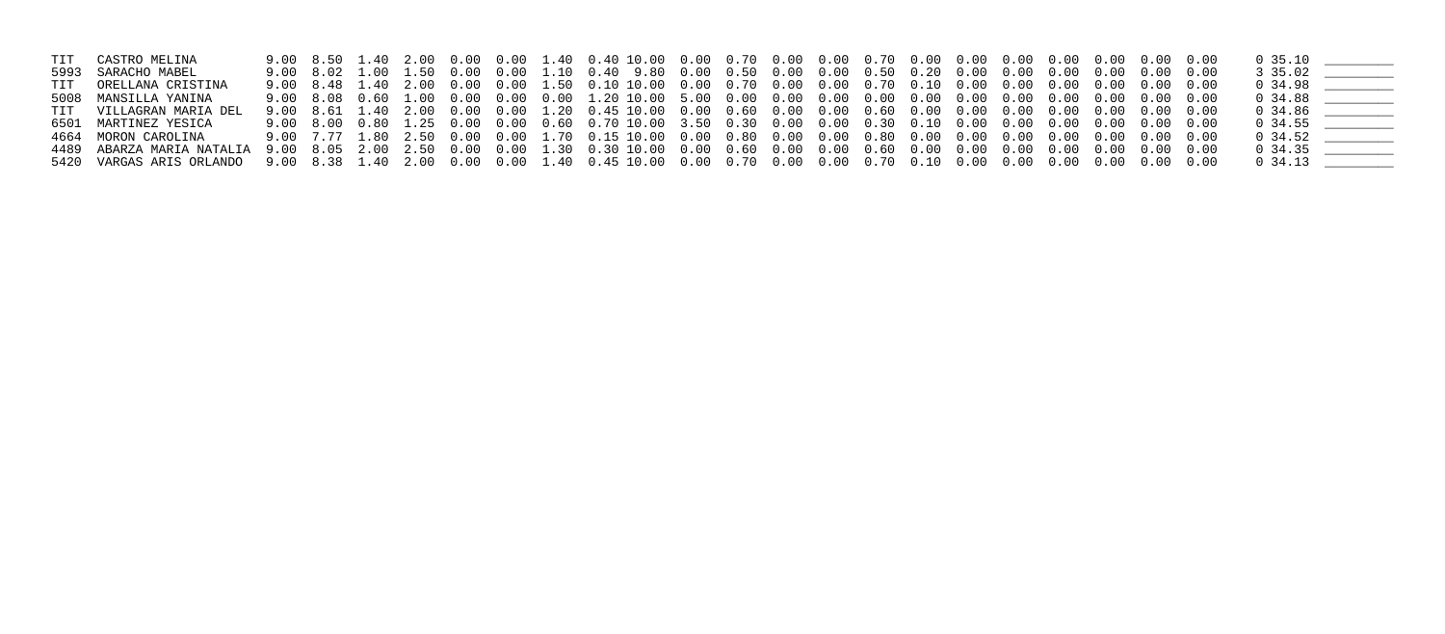| TIT CASTRO MELINA       |  |  |  |  |  |  |  |  |  |  | 0 35.10    |  |
|-------------------------|--|--|--|--|--|--|--|--|--|--|------------|--|
| 5993 SARACHO MABEL      |  |  |  |  |  |  |  |  |  |  | 3 35.02    |  |
| TIT ORELLANA CRISTINA   |  |  |  |  |  |  |  |  |  |  | $0\,34.98$ |  |
| 5008 MANSILLA YANINA    |  |  |  |  |  |  |  |  |  |  | 0 34.88    |  |
| TIT VILLAGRAN MARIA DEL |  |  |  |  |  |  |  |  |  |  |            |  |
| 6501 MARTINEZ YESICA    |  |  |  |  |  |  |  |  |  |  | $0\;34.55$ |  |
| 4664 MORON CAROLINA     |  |  |  |  |  |  |  |  |  |  | $0\;34.52$ |  |
|                         |  |  |  |  |  |  |  |  |  |  | 0 34.35    |  |
|                         |  |  |  |  |  |  |  |  |  |  |            |  |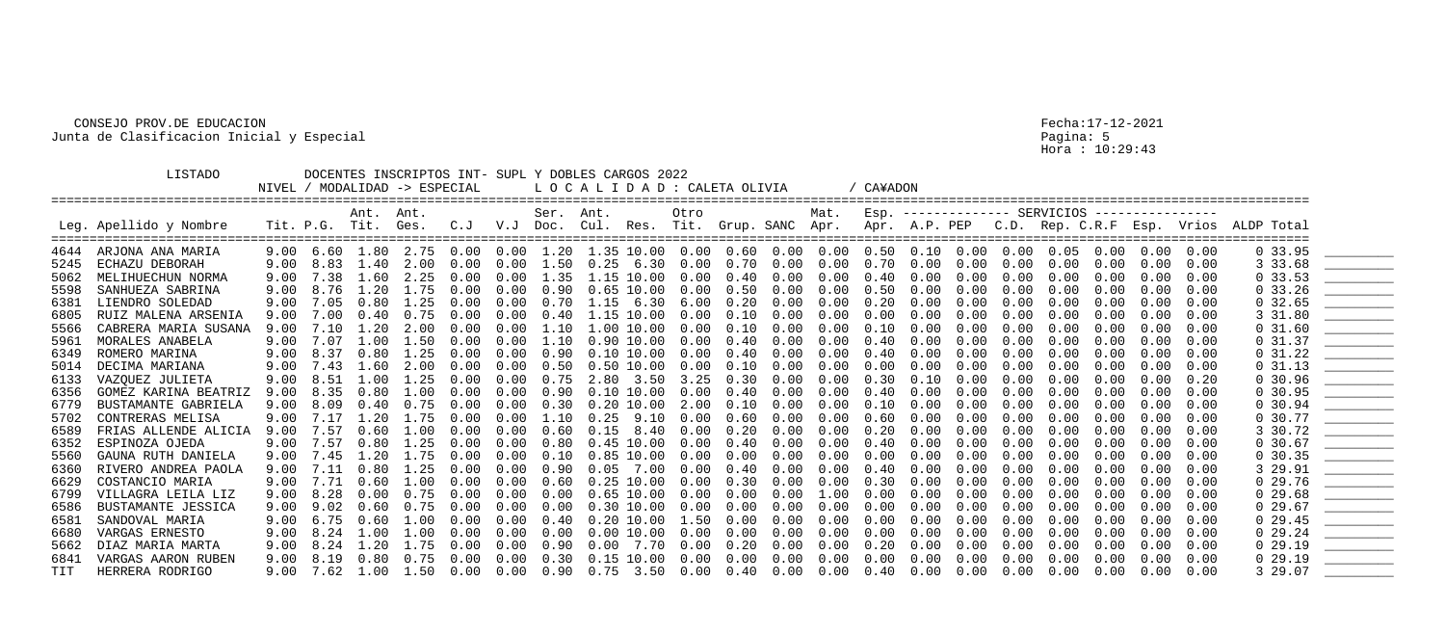Hora : 10:29:43

|      | <b>LISTADO</b>         | NIVEL / |                   | DOCENTES INSCRIPTOS INT- SUPL Y DOBLES CARGOS 2022<br>MODALIDAD -> ESPECIAL |                   |      |      |           | L O C A L I D A D : CALETA OLIVIA     |                |      |      |      |      | / CA¥ADON         |                   |      |      |                               |      |                   |      |                                                                                                 |                                                                                                                                                                                                                                                                                                                                                                                                                                                                                        |
|------|------------------------|---------|-------------------|-----------------------------------------------------------------------------|-------------------|------|------|-----------|---------------------------------------|----------------|------|------|------|------|-------------------|-------------------|------|------|-------------------------------|------|-------------------|------|-------------------------------------------------------------------------------------------------|----------------------------------------------------------------------------------------------------------------------------------------------------------------------------------------------------------------------------------------------------------------------------------------------------------------------------------------------------------------------------------------------------------------------------------------------------------------------------------------|
|      | Leg. Apellido y Nombre |         | Tit. P.G. Tit.    | Ant. Ant.                                                                   | Ges.              |      |      | Ser. Ant. |                                       |                | Otro |      |      | Mat. |                   |                   |      |      | Esp. -------------- SERVICIOS |      | ----------------  |      | C.J V.J Doc. Cul. Res. Tit. Grup. SANC Apr. Apr. A.P. PEP C.D. Rep. C.R.F Esp. Vrios ALDP Total |                                                                                                                                                                                                                                                                                                                                                                                                                                                                                        |
| 4644 | ARJONA ANA MARIA       |         |                   | 9.00 6.60 1.80 2.75 0.00                                                    |                   |      |      |           | $0.00$ 1.20 1.35 10.00 0.00 0.60 0.00 |                |      |      |      |      | $0.00 \quad 0.50$ | $0.10 \quad 0.00$ |      |      | $0.00 \quad 0.05$             | 0.00 | $0.00 \quad 0.00$ |      | 0, 33.95                                                                                        |                                                                                                                                                                                                                                                                                                                                                                                                                                                                                        |
| 5245 | ECHAZU DEBORAH         |         | $9.00 \quad 8.83$ | 1.40                                                                        | 2.00              | 0.00 | 0.00 | 1.50      | 0.25                                  | 6.30           | 0.00 | 0.70 | 0.00 | 0.00 | 0.70              | 0.00              | 0.00 | 0.00 | 0.00                          | 0.00 | 0.00              | 0.00 | 3 33.68                                                                                         |                                                                                                                                                                                                                                                                                                                                                                                                                                                                                        |
| 5062 | MELIHUECHUN NORMA      | 9.00    | 7.38              | 1.60                                                                        | 2.25              | 0.00 | 0.00 | 1.35      |                                       | 1.15 10.00     | 0.00 | 0.40 | 0.00 | 0.00 | 0.40              | 0.00              | 0.00 | 0.00 | 0.00                          | 0.00 | 0.00              | 0.00 | 0.33.53                                                                                         |                                                                                                                                                                                                                                                                                                                                                                                                                                                                                        |
| 5598 | SANHUEZA SABRINA       | 9.00    | 8.76              | 1.20                                                                        | 1.75              | 0.00 | 0.00 | 0.90      |                                       | $0.65$ 10.00   | 0.00 | 0.50 | 0.00 | 0.00 | 0.50              | 0.00              | 0.00 | 0.00 | 0.00                          | 0.00 | 0.00              | 0.00 | $0\,33.26$                                                                                      | $\overline{\phantom{a}}$                                                                                                                                                                                                                                                                                                                                                                                                                                                               |
| 6381 | LIENDRO SOLEDAD        | 9.00    | 7.05              | 0.80                                                                        | 1.25              | 0.00 | 0.00 | 0.70      | 1.15                                  | 6.30           | 6.00 | 0.20 | 0.00 | 0.00 | 0.20              | 0.00              | 0.00 | 0.00 | 0.00                          | 0.00 | 0.00              | 0.00 | 0, 32.65                                                                                        |                                                                                                                                                                                                                                                                                                                                                                                                                                                                                        |
| 6805 | RUIZ MALENA ARSENIA    | 9.00    | 7.00              | 0.40                                                                        | 0.75              | 0.00 | 0.00 | 0.40      |                                       | $1.15$ $10.00$ | 0.00 | 0.10 | 0.00 | 0.00 | 0.00              | 0.00              | 0.00 | 0.00 | 0.00                          | 0.00 | 0.00              | 0.00 | 3 31.80                                                                                         |                                                                                                                                                                                                                                                                                                                                                                                                                                                                                        |
| 5566 | CABRERA MARIA SUSANA   | 9.00    | 7.10              | 1.20                                                                        | 2.00              | 0.00 | 0.00 | 1.10      |                                       | 1.00 10.00     | 0.00 | 0.10 | 0.00 | 0.00 | 0.10              | 0.00              | 0.00 | 0.00 | 0.00                          | 0.00 | 0.00              | 0.00 | 0, 31.60                                                                                        |                                                                                                                                                                                                                                                                                                                                                                                                                                                                                        |
| 5961 | MORALES ANABELA        | 9.00    | 7.07              | 1.00                                                                        | 1.50              | 0.00 | 0.00 | 1.10      |                                       | $0.90$ $10.00$ | 0.00 | 0.40 | 0.00 | 0.00 | 0.40              | 0.00              | 0.00 | 0.00 | 0.00                          | 0.00 | 0.00              | 0.00 | 0, 31.37                                                                                        |                                                                                                                                                                                                                                                                                                                                                                                                                                                                                        |
| 6349 | ROMERO MARINA          |         | $9.00 \quad 8.37$ | 0.80                                                                        | 1.25              | 0.00 | 0.00 | 0.90      |                                       | $0.10$ $10.00$ | 0.00 | 0.40 | 0.00 | 0.00 | 0.40              | 0.00              | 0.00 | 0.00 | 0.00                          | 0.00 | 0.00              | 0.00 | 0 31.22                                                                                         |                                                                                                                                                                                                                                                                                                                                                                                                                                                                                        |
| 5014 | DECIMA MARIANA         |         | $9.00 \quad 7.43$ | 1.60                                                                        | 2.00              | 0.00 | 0.00 | 0.50      |                                       | $0.50$ $10.00$ | 0.00 | 0.10 | 0.00 | 0.00 | 0.00              | 0.00              | 0.00 | 0.00 | 0.00                          | 0.00 | 0.00              | 0.00 | $0\ 31.13$                                                                                      | $\begin{array}{ccccccccccccc} \multicolumn{2}{c}{} & \multicolumn{2}{c}{} & \multicolumn{2}{c}{} & \multicolumn{2}{c}{} & \multicolumn{2}{c}{} & \multicolumn{2}{c}{} & \multicolumn{2}{c}{} & \multicolumn{2}{c}{} & \multicolumn{2}{c}{} & \multicolumn{2}{c}{} & \multicolumn{2}{c}{} & \multicolumn{2}{c}{} & \multicolumn{2}{c}{} & \multicolumn{2}{c}{} & \multicolumn{2}{c}{} & \multicolumn{2}{c}{} & \multicolumn{2}{c}{} & \multicolumn{2}{c}{} & \multicolumn{2}{c}{} & \$  |
| 6133 | VAZQUEZ JULIETA        |         | 9.00 8.51         | 1.00                                                                        | 1.25              | 0.00 | 0.00 | 0.75      | 2.80                                  | 3.50           | 3.25 | 0.30 | 0.00 | 0.00 | 0.30              | 0.10              | 0.00 | 0.00 | 0.00                          | 0.00 | 0.00              | 0.20 | 0, 30.96                                                                                        | <u> 2000 - Jan Samuel Barbara, poet</u>                                                                                                                                                                                                                                                                                                                                                                                                                                                |
| 6356 | GOMEZ KARINA BEATRIZ   | 9.00    | 8.35              | 0.80                                                                        | 1.00              | 0.00 | 0.00 | 0.90      |                                       | $0.10$ $10.00$ | 0.00 | 0.40 | 0.00 | 0.00 | 0.40              | 0.00              | 0.00 | 0.00 | 0.00                          | 0.00 | 0.00              | 0.00 | 0, 30.95                                                                                        |                                                                                                                                                                                                                                                                                                                                                                                                                                                                                        |
| 6779 | BUSTAMANTE GABRIELA    |         | $9.00$ 8.09       | 0.40                                                                        | 0.75              | 0.00 | 0.00 | 0.30      |                                       | $0.20$ $10.00$ | 2.00 | 0.10 | 0.00 | 0.00 | 0.10              | 0.00              | 0.00 | 0.00 | 0.00                          | 0.00 | 0.00              | 0.00 | 0, 30.94                                                                                        |                                                                                                                                                                                                                                                                                                                                                                                                                                                                                        |
| 5702 | CONTRERAS MELISA       | 9.00    | 7.17              | 1.20                                                                        | 1.75              | 0.00 | 0.00 | 1.10      | 0.25                                  | 9.10           | 0.00 | 0.60 | 0.00 | 0.00 | 0.60              | 0.00              | 0.00 | 0.00 | 0.00                          | 0.00 | 0.00              | 0.00 | 0 30.77                                                                                         |                                                                                                                                                                                                                                                                                                                                                                                                                                                                                        |
| 6589 | FRIAS ALLENDE ALICIA   | 9.00    |                   | 0.60                                                                        | 1.00              | 0.00 | 0.00 | 0.60      | 0.15                                  | 8.40           | 0.00 | 0.20 | 0.00 | 0.00 | 0.20              | 0.00              | 0.00 | 0.00 | 0.00                          |      | 0.00              | 0.00 | 3 30.72                                                                                         | $\begin{array}{cccccccccc} \multicolumn{2}{c}{} & \multicolumn{2}{c}{} & \multicolumn{2}{c}{} & \multicolumn{2}{c}{} & \multicolumn{2}{c}{} & \multicolumn{2}{c}{} & \multicolumn{2}{c}{} & \multicolumn{2}{c}{} & \multicolumn{2}{c}{} & \multicolumn{2}{c}{} & \multicolumn{2}{c}{} & \multicolumn{2}{c}{} & \multicolumn{2}{c}{} & \multicolumn{2}{c}{} & \multicolumn{2}{c}{} & \multicolumn{2}{c}{} & \multicolumn{2}{c}{} & \multicolumn{2}{c}{} & \multicolumn{2}{c}{} & \mult$ |
| 6352 | ESPINOZA OJEDA         |         | 9.00 7.57         | 0.80                                                                        | 1.25              | 0.00 | 0.00 | 0.80      |                                       | $0.45$ $10.00$ | 0.00 | 0.40 | 0.00 | 0.00 | 0.40              | 0.00              | 0.00 | 0.00 | 0.00                          | 0.00 | 0.00              | 0.00 | 0, 30.67                                                                                        | $\begin{array}{cccccccccc} \multicolumn{2}{c}{} & \multicolumn{2}{c}{} & \multicolumn{2}{c}{} & \multicolumn{2}{c}{} & \multicolumn{2}{c}{} & \multicolumn{2}{c}{} & \multicolumn{2}{c}{} & \multicolumn{2}{c}{} & \multicolumn{2}{c}{} & \multicolumn{2}{c}{} & \multicolumn{2}{c}{} & \multicolumn{2}{c}{} & \multicolumn{2}{c}{} & \multicolumn{2}{c}{} & \multicolumn{2}{c}{} & \multicolumn{2}{c}{} & \multicolumn{2}{c}{} & \multicolumn{2}{c}{} & \multicolumn{2}{c}{} & \mult$ |
| 5560 | GAUNA RUTH DANIELA     | 9.00    | 7.45              | 1.20                                                                        | 1.75              | 0.00 | 0.00 | 0.10      |                                       | $0.85$ $10.00$ | 0.00 | 0.00 | 0.00 | 0.00 | 0.00              | 0.00              | 0.00 | 0.00 | 0.00                          | 0.00 | 0.00              | 0.00 | 0, 30.35                                                                                        |                                                                                                                                                                                                                                                                                                                                                                                                                                                                                        |
| 6360 | RIVERO ANDREA PAOLA    | 9.00    |                   | 0.80                                                                        | 1.25              | 0.00 | 0.00 | 0.90      | 0.05                                  | 7.00           | 0.00 | 0.40 | 0.00 | 0.00 | 0.40              | 0.00              | 0.00 | 0.00 | 0.00                          | 0.00 | 0.00              | 0.00 | 3 29.91                                                                                         |                                                                                                                                                                                                                                                                                                                                                                                                                                                                                        |
| 6629 | COSTANCIO MARIA        |         | 9.00 7.71         | 0.60                                                                        | 1.00              | 0.00 | 0.00 | 0.60      |                                       | $0.25$ $10.00$ | 0.00 | 0.30 | 0.00 | 0.00 | 0.30              | 0.00              | 0.00 | 0.00 | 0.00                          | 0.00 | 0.00              | 0.00 | 0, 29.76                                                                                        |                                                                                                                                                                                                                                                                                                                                                                                                                                                                                        |
| 6799 | VILLAGRA LEILA LIZ     | 9.00    | 8.28              | 0.00                                                                        | 0.75              | 0.00 | 0.00 | 0.00      |                                       | $0.65$ $10.00$ | 0.00 | 0.00 | 0.00 | 1.00 | 0.00              | 0.00              | 0.00 | 0.00 | 0.00                          | 0.00 | 0.00              | 0.00 | 0, 29.68                                                                                        |                                                                                                                                                                                                                                                                                                                                                                                                                                                                                        |
| 6586 | BUSTAMANTE JESSICA     | 9.00    | 9.02              | 0.60                                                                        | 0.75              | 0.00 | 0.00 | 0.00      |                                       | $0.30$ $10.00$ | 0.00 | 0.00 | 0.00 | 0.00 | 0.00              | 0.00              | 0.00 | 0.00 | 0.00                          | 0.00 | 0.00              | 0.00 | 029.67                                                                                          |                                                                                                                                                                                                                                                                                                                                                                                                                                                                                        |
| 6581 | SANDOVAL MARIA         |         | $9.00 \quad 6.75$ | 0.60                                                                        | 1.00              | 0.00 | 0.00 | 0.40      |                                       | $0.20$ $10.00$ | 1.50 | 0.00 | 0.00 | 0.00 | 0.00              | 0.00              | 0.00 | 0.00 | 0.00                          | 0.00 | 0.00              | 0.00 | 0 29.45                                                                                         |                                                                                                                                                                                                                                                                                                                                                                                                                                                                                        |
| 6680 | VARGAS ERNESTO         |         | $9.00 \quad 8.24$ | 1.00                                                                        | 1.00              | 0.00 | 0.00 | 0.00      |                                       | $0.00$ $10.00$ | 0.00 | 0.00 | 0.00 | 0.00 | 0.00              | 0.00              | 0.00 | 0.00 | 0.00                          | 0.00 | 0.00              | 0.00 | 029.24                                                                                          | <u> La Carlo de Santa Carlo de Santa C</u>                                                                                                                                                                                                                                                                                                                                                                                                                                             |
| 5662 | DIAZ MARIA MARTA       | 9.00    | 8.24              | 1.20                                                                        | 1.75              | 0.00 | 0.00 | 0.90      | 0.00                                  | 7.70           | 0.00 | 0.20 | 0.00 | 0.00 | 0.20              | 0.00              | 0.00 | 0.00 | 0.00                          | 0.00 | 0.00              | 0.00 | 0 29.19                                                                                         |                                                                                                                                                                                                                                                                                                                                                                                                                                                                                        |
| 6841 | VARGAS AARON RUBEN     |         | $9.00 \quad 8.19$ |                                                                             | $0.80 \quad 0.75$ | 0.00 | 0.00 | 0.30      |                                       | $0.15$ $10.00$ | 0.00 | 0.00 | 0.00 | 0.00 | 0.00              | 0.00              | 0.00 | 0.00 | 0.00                          | 0.00 | 0.00              | 0.00 | 029.19                                                                                          |                                                                                                                                                                                                                                                                                                                                                                                                                                                                                        |
| TIT  | HERRERA RODRIGO        | 9.00    | 7.62              | 1.00                                                                        | 1.50              | 0.00 | 0.00 | 0.90      | 0.75                                  | 3.50           | 0.00 | 0.40 | 0.00 | 0.00 | 0.40              | 0.00              | 0.00 | 0.00 | 0.00                          | 0.00 | 0.00              | 0.00 | 29.07                                                                                           |                                                                                                                                                                                                                                                                                                                                                                                                                                                                                        |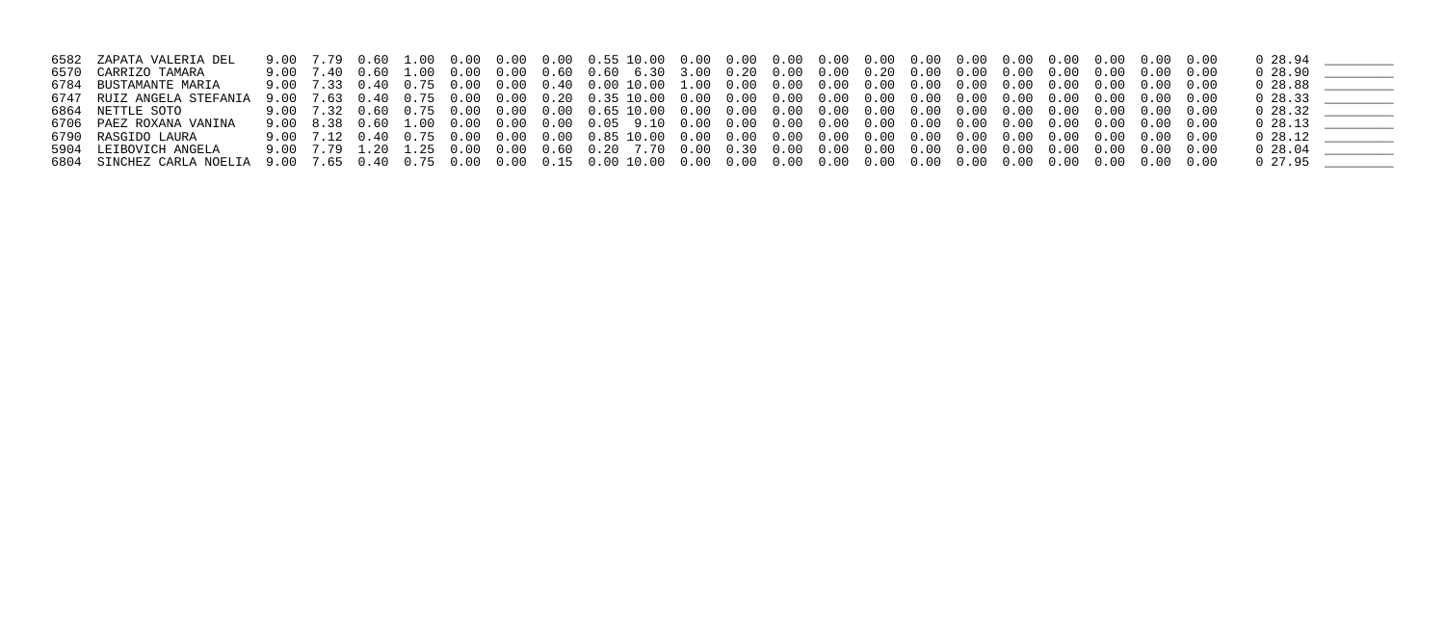| 6582 ZAPATA VALERIA DEL   |  |  |  |  |  |  |  |  |  |  |                             |  |
|---------------------------|--|--|--|--|--|--|--|--|--|--|-----------------------------|--|
| 6570 CARRIZO TAMARA       |  |  |  |  |  |  |  |  |  |  | 0 28.90                     |  |
| 6784 BUSTAMANTE MARIA     |  |  |  |  |  |  |  |  |  |  | $0\quad 28.88$ _________    |  |
| 6747 RUIZ ANGELA STEFANIA |  |  |  |  |  |  |  |  |  |  | $0\quad 28.33$ ____________ |  |
| 6864 NETTLE SOTO          |  |  |  |  |  |  |  |  |  |  | $0\quad 28.32$ __________   |  |
| 6706 PAEZ ROXANA VANINA   |  |  |  |  |  |  |  |  |  |  | $0\;28.13$                  |  |
| 6790 RASGIDO LAURA        |  |  |  |  |  |  |  |  |  |  | $0\;28.12$                  |  |
| 5904 LEIBOVICH ANGELA     |  |  |  |  |  |  |  |  |  |  | $0\quad28.04$               |  |
|                           |  |  |  |  |  |  |  |  |  |  |                             |  |